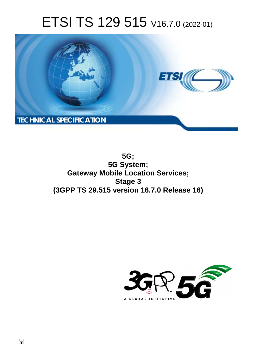# ETSI TS 129 515 V16.7.0 (2022-01)



**5G; 5G System; Gateway Mobile Location Services; Stage 3 (3GPP TS 29.515 version 16.7.0 Release 16)** 

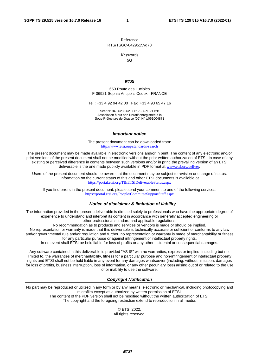Reference RTS/TSGC-0429515vg70

Keywords

 $\overline{5G}$ 

#### *ETSI*

650 Route des Lucioles F-06921 Sophia Antipolis Cedex - FRANCE

Tel.: +33 4 92 94 42 00 Fax: +33 4 93 65 47 16

Siret N° 348 623 562 00017 - APE 7112B Association à but non lucratif enregistrée à la Sous-Préfecture de Grasse (06) N° w061004871

#### *Important notice*

The present document can be downloaded from: <http://www.etsi.org/standards-search>

The present document may be made available in electronic versions and/or in print. The content of any electronic and/or print versions of the present document shall not be modified without the prior written authorization of ETSI. In case of any existing or perceived difference in contents between such versions and/or in print, the prevailing version of an ETSI deliverable is the one made publicly available in PDF format at [www.etsi.org/deliver](http://www.etsi.org/deliver).

Users of the present document should be aware that the document may be subject to revision or change of status. Information on the current status of this and other ETSI documents is available at <https://portal.etsi.org/TB/ETSIDeliverableStatus.aspx>

If you find errors in the present document, please send your comment to one of the following services: <https://portal.etsi.org/People/CommiteeSupportStaff.aspx>

#### *Notice of disclaimer & limitation of liability*

The information provided in the present deliverable is directed solely to professionals who have the appropriate degree of experience to understand and interpret its content in accordance with generally accepted engineering or other professional standard and applicable regulations.

No recommendation as to products and services or vendors is made or should be implied.

No representation or warranty is made that this deliverable is technically accurate or sufficient or conforms to any law and/or governmental rule and/or regulation and further, no representation or warranty is made of merchantability or fitness for any particular purpose or against infringement of intellectual property rights.

In no event shall ETSI be held liable for loss of profits or any other incidental or consequential damages.

Any software contained in this deliverable is provided "AS IS" with no warranties, express or implied, including but not limited to, the warranties of merchantability, fitness for a particular purpose and non-infringement of intellectual property rights and ETSI shall not be held liable in any event for any damages whatsoever (including, without limitation, damages for loss of profits, business interruption, loss of information, or any other pecuniary loss) arising out of or related to the use of or inability to use the software.

#### *Copyright Notification*

No part may be reproduced or utilized in any form or by any means, electronic or mechanical, including photocopying and microfilm except as authorized by written permission of ETSI. The content of the PDF version shall not be modified without the written authorization of ETSI.

The copyright and the foregoing restriction extend to reproduction in all media.

© ETSI 2022. All rights reserved.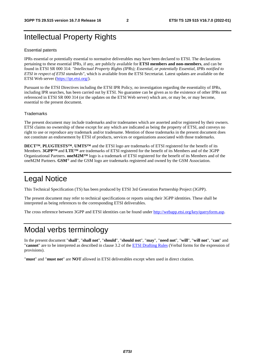# Intellectual Property Rights

#### Essential patents

IPRs essential or potentially essential to normative deliverables may have been declared to ETSI. The declarations pertaining to these essential IPRs, if any, are publicly available for **ETSI members and non-members**, and can be found in ETSI SR 000 314: *"Intellectual Property Rights (IPRs); Essential, or potentially Essential, IPRs notified to ETSI in respect of ETSI standards"*, which is available from the ETSI Secretariat. Latest updates are available on the ETSI Web server ([https://ipr.etsi.org/\)](https://ipr.etsi.org/).

Pursuant to the ETSI Directives including the ETSI IPR Policy, no investigation regarding the essentiality of IPRs, including IPR searches, has been carried out by ETSI. No guarantee can be given as to the existence of other IPRs not referenced in ETSI SR 000 314 (or the updates on the ETSI Web server) which are, or may be, or may become, essential to the present document.

#### **Trademarks**

The present document may include trademarks and/or tradenames which are asserted and/or registered by their owners. ETSI claims no ownership of these except for any which are indicated as being the property of ETSI, and conveys no right to use or reproduce any trademark and/or tradename. Mention of those trademarks in the present document does not constitute an endorsement by ETSI of products, services or organizations associated with those trademarks.

**DECT™**, **PLUGTESTS™**, **UMTS™** and the ETSI logo are trademarks of ETSI registered for the benefit of its Members. **3GPP™** and **LTE™** are trademarks of ETSI registered for the benefit of its Members and of the 3GPP Organizational Partners. **oneM2M™** logo is a trademark of ETSI registered for the benefit of its Members and of the oneM2M Partners. **GSM**® and the GSM logo are trademarks registered and owned by the GSM Association.

# Legal Notice

This Technical Specification (TS) has been produced by ETSI 3rd Generation Partnership Project (3GPP).

The present document may refer to technical specifications or reports using their 3GPP identities. These shall be interpreted as being references to the corresponding ETSI deliverables.

The cross reference between 3GPP and ETSI identities can be found under<http://webapp.etsi.org/key/queryform.asp>.

# Modal verbs terminology

In the present document "**shall**", "**shall not**", "**should**", "**should not**", "**may**", "**need not**", "**will**", "**will not**", "**can**" and "**cannot**" are to be interpreted as described in clause 3.2 of the [ETSI Drafting Rules](https://portal.etsi.org/Services/editHelp!/Howtostart/ETSIDraftingRules.aspx) (Verbal forms for the expression of provisions).

"**must**" and "**must not**" are **NOT** allowed in ETSI deliverables except when used in direct citation.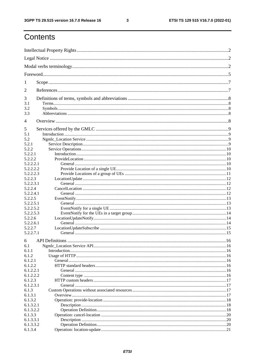$\mathbf{3}$ 

# Contents

| 1                    |  |  |  |  |  |
|----------------------|--|--|--|--|--|
| 2                    |  |  |  |  |  |
| 3                    |  |  |  |  |  |
| 3.1                  |  |  |  |  |  |
| 3.2                  |  |  |  |  |  |
| 3.3                  |  |  |  |  |  |
| 4                    |  |  |  |  |  |
| 5                    |  |  |  |  |  |
| 5.1                  |  |  |  |  |  |
| 5.2                  |  |  |  |  |  |
| 5.2.1                |  |  |  |  |  |
| 5.2.2                |  |  |  |  |  |
| 5.2.2.1              |  |  |  |  |  |
| 5.2.2.2              |  |  |  |  |  |
| 5.2.2.2.1            |  |  |  |  |  |
| 5.2.2.2.2            |  |  |  |  |  |
| 5.2.2.2.3<br>5.2.2.3 |  |  |  |  |  |
| 5.2.2.3.1            |  |  |  |  |  |
| 5.2.2.4              |  |  |  |  |  |
| 5.2.2.4.1            |  |  |  |  |  |
| 5.2.2.5              |  |  |  |  |  |
| 5.2.2.5.1            |  |  |  |  |  |
| 5.2.2.5.2            |  |  |  |  |  |
| 5.2.2.5.3            |  |  |  |  |  |
| 5.2.2.6              |  |  |  |  |  |
| 5.2.2.6.1            |  |  |  |  |  |
| 5.2.2.7              |  |  |  |  |  |
| 5.2.2.7.1            |  |  |  |  |  |
| 6                    |  |  |  |  |  |
| 6.1                  |  |  |  |  |  |
| 6.1.1                |  |  |  |  |  |
| 6.1.2                |  |  |  |  |  |
| 6.1.2.1              |  |  |  |  |  |
| 6.1.2.2              |  |  |  |  |  |
| 6.1.2.2.1            |  |  |  |  |  |
| 6.1.2.2.2            |  |  |  |  |  |
| 6.1.2.3<br>6.1.2.3.1 |  |  |  |  |  |
| 6.1.3                |  |  |  |  |  |
| 6.1.3.1              |  |  |  |  |  |
| 6.1.3.2              |  |  |  |  |  |
| 6.1.3.2.1            |  |  |  |  |  |
| 6.1.3.2.2            |  |  |  |  |  |
| 6.1.3.3              |  |  |  |  |  |
| 6.1.3.3.1            |  |  |  |  |  |
| 6.1.3.3.2            |  |  |  |  |  |
| 6.1.3.4              |  |  |  |  |  |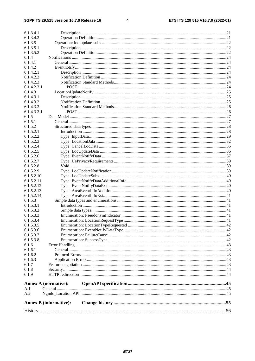#### $\overline{\mathbf{4}}$

| 6.1.3.4.1              |                               |  |  |  |  |  |  |
|------------------------|-------------------------------|--|--|--|--|--|--|
| 6.1.3.4.2              |                               |  |  |  |  |  |  |
| 6.1.3.5                |                               |  |  |  |  |  |  |
| 6.1.3.5.1              |                               |  |  |  |  |  |  |
| 6.1.3.5.2              |                               |  |  |  |  |  |  |
| 6.1.4                  |                               |  |  |  |  |  |  |
| 6.1.4.1                |                               |  |  |  |  |  |  |
| 6.1.4.2                |                               |  |  |  |  |  |  |
| 6.1.4.2.1              |                               |  |  |  |  |  |  |
| 6.1.4.2.2              |                               |  |  |  |  |  |  |
| 6.1.4.2.3              |                               |  |  |  |  |  |  |
| 6.1.4.2.3.1            |                               |  |  |  |  |  |  |
| 6.1.4.3                |                               |  |  |  |  |  |  |
| 6.1.4.3.1              |                               |  |  |  |  |  |  |
| 6.1.4.3.2              |                               |  |  |  |  |  |  |
| 6.1.4.3.3              |                               |  |  |  |  |  |  |
| 6.1.4.3.3.1            |                               |  |  |  |  |  |  |
| 6.1.5                  |                               |  |  |  |  |  |  |
| 6.1.5.1                |                               |  |  |  |  |  |  |
| 6.1.5.2                |                               |  |  |  |  |  |  |
| 6.1.5.2.1              |                               |  |  |  |  |  |  |
| 6.1.5.2.2              |                               |  |  |  |  |  |  |
| 6.1.5.2.3<br>6.1.5.2.4 |                               |  |  |  |  |  |  |
| 6.1.5.2.5              |                               |  |  |  |  |  |  |
| 6.1.5.2.6              |                               |  |  |  |  |  |  |
| 6.1.5.2.7              |                               |  |  |  |  |  |  |
| 6.1.5.2.8              |                               |  |  |  |  |  |  |
| 6.1.5.2.9              |                               |  |  |  |  |  |  |
| 6.1.5.2.10             |                               |  |  |  |  |  |  |
| 6.1.5.2.11             |                               |  |  |  |  |  |  |
| 6.1.5.2.12             |                               |  |  |  |  |  |  |
| 6.1.5.2.13             |                               |  |  |  |  |  |  |
| 6.1.5.2.14             |                               |  |  |  |  |  |  |
| 6.1.5.3                |                               |  |  |  |  |  |  |
| 6.1.5.3.1              |                               |  |  |  |  |  |  |
| 6.1.5.3.2              |                               |  |  |  |  |  |  |
| 6.1.5.3.3              |                               |  |  |  |  |  |  |
| 6.1.5.3.4              |                               |  |  |  |  |  |  |
| 6.1.5.3.5              |                               |  |  |  |  |  |  |
| 6.1.5.3.6              |                               |  |  |  |  |  |  |
| 6.1.5.3.7              |                               |  |  |  |  |  |  |
| 6.1.5.3.8              |                               |  |  |  |  |  |  |
| 6.1.6                  |                               |  |  |  |  |  |  |
| 6.1.6.1                |                               |  |  |  |  |  |  |
| 6.1.6.2                |                               |  |  |  |  |  |  |
| 6.1.6.3                |                               |  |  |  |  |  |  |
| 6.1.7                  |                               |  |  |  |  |  |  |
| 6.1.8                  |                               |  |  |  |  |  |  |
| 6.1.9                  |                               |  |  |  |  |  |  |
| A.1                    | Annex A (normative):          |  |  |  |  |  |  |
| A.2                    |                               |  |  |  |  |  |  |
|                        |                               |  |  |  |  |  |  |
|                        | <b>Annex B</b> (informative): |  |  |  |  |  |  |
|                        |                               |  |  |  |  |  |  |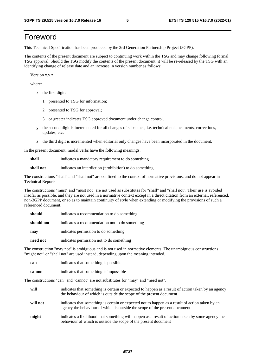# Foreword

This Technical Specification has been produced by the 3rd Generation Partnership Project (3GPP).

The contents of the present document are subject to continuing work within the TSG and may change following formal TSG approval. Should the TSG modify the contents of the present document, it will be re-released by the TSG with an identifying change of release date and an increase in version number as follows:

Version x.y.z

where:

- x the first digit:
	- 1 presented to TSG for information;
	- 2 presented to TSG for approval;
	- 3 or greater indicates TSG approved document under change control.
- y the second digit is incremented for all changes of substance, i.e. technical enhancements, corrections, updates, etc.
- z the third digit is incremented when editorial only changes have been incorporated in the document.

In the present document, modal verbs have the following meanings:

**shall** indicates a mandatory requirement to do something

**shall not** indicates an interdiction (prohibition) to do something

The constructions "shall" and "shall not" are confined to the context of normative provisions, and do not appear in Technical Reports.

The constructions "must" and "must not" are not used as substitutes for "shall" and "shall not". Their use is avoided insofar as possible, and they are not used in a normative context except in a direct citation from an external, referenced, non-3GPP document, or so as to maintain continuity of style when extending or modifying the provisions of such a referenced document.

| should     | indicates a recommendation to do something     |
|------------|------------------------------------------------|
| should not | indicates a recommendation not to do something |
| may        | indicates permission to do something           |
| need not   | indicates permission not to do something       |

The construction "may not" is ambiguous and is not used in normative elements. The unambiguous constructions "might not" or "shall not" are used instead, depending upon the meaning intended.

| can    | indicates that something is possible   |
|--------|----------------------------------------|
| cannot | indicates that something is impossible |

The constructions "can" and "cannot" are not substitutes for "may" and "need not".

| will     | indicates that something is certain or expected to happen as a result of action taken by an agency<br>the behaviour of which is outside the scope of the present document     |
|----------|-------------------------------------------------------------------------------------------------------------------------------------------------------------------------------|
| will not | indicates that something is certain or expected not to happen as a result of action taken by an<br>agency the behaviour of which is outside the scope of the present document |
| might    | indicates a likelihood that something will happen as a result of action taken by some agency the<br>behaviour of which is outside the scope of the present document           |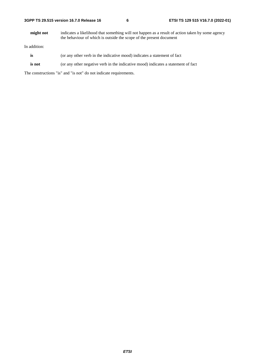**might not** indicates a likelihood that something will not happen as a result of action taken by some agency the behaviour of which is outside the scope of the present document

In addition:

- **is** (or any other verb in the indicative mood) indicates a statement of fact
- **is not** (or any other negative verb in the indicative mood) indicates a statement of fact

The constructions "is" and "is not" do not indicate requirements.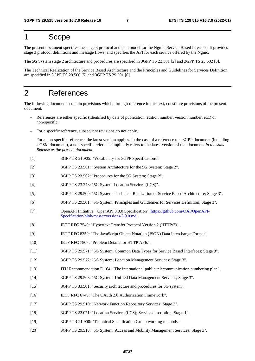# 1 Scope

The present document specifies the stage 3 protocol and data model for the Ngmlc Service Based Interface. It provides stage 3 protocol definitions and message flows, and specifies the API for each service offered by the Ngmc.

The 5G System stage 2 architecture and procedures are specified in 3GPP TS 23.501 [2] and 3GPP TS 23.502 [3].

The Technical Realization of the Service Based Architecture and the Principles and Guidelines for Services Definition are specified in 3GPP TS 29.500 [5] and 3GPP TS 29.501 [6].

# 2 References

The following documents contain provisions which, through reference in this text, constitute provisions of the present document.

- References are either specific (identified by date of publication, edition number, version number, etc.) or non-specific.
- For a specific reference, subsequent revisions do not apply.
- For a non-specific reference, the latest version applies. In the case of a reference to a 3GPP document (including a GSM document), a non-specific reference implicitly refers to the latest version of that document *in the same Release as the present document*.
- [1] 3GPP TR 21.905: "Vocabulary for 3GPP Specifications".
- [2] 3GPP TS 23.501: "System Architecture for the 5G System; Stage 2".
- [3] 3GPP TS 23.502: "Procedures for the 5G System; Stage 2".
- [4] 3GPP TS 23.273: "5G System Location Services (LCS)".
- [5] 3GPP TS 29.500: "5G System; Technical Realization of Service Based Architecture; Stage 3".
- [6] 3GPP TS 29.501: "5G System; Principles and Guidelines for Services Definition; Stage 3".
- [7] OpenAPI Initiative, "OpenAPI 3.0.0 Specification", [https://github.com/OAI/OpenAPI-](https://github.com/OAI/OpenAPI-Specification/blob/master/versions/3.0.0.md)[Specification/blob/master/versions/3.0.0.md](https://github.com/OAI/OpenAPI-Specification/blob/master/versions/3.0.0.md).
- [8] IETF RFC 7540: "Hypertext Transfer Protocol Version 2 (HTTP/2)".
- [9] IETF RFC 8259: "The JavaScript Object Notation (JSON) Data Interchange Format".
- [10] IETF RFC 7807: "Problem Details for HTTP APIs".
- [11] 3GPP TS 29.571: "5G System; Common Data Types for Service Based Interfaces; Stage 3".
- [12] 3GPP TS 29.572: "5G System; Location Management Services; Stage 3".
- [13] ITU Recommendation E.164: "The international public telecommunication numbering plan".
- [14] 3GPP TS 29.503: "5G System; Unified Data Management Services; Stage 3".
- [15] 3GPP TS 33.501: "Security architecture and procedures for 5G system".
- [16] IETF RFC 6749: "The OAuth 2.0 Authorization Framework".
- [17] 3GPP TS 29.510: "Network Function Repository Services; Stage 3".
- [18] 3GPP TS 22.071: "Location Services (LCS); Service description; Stage 1".
- [19] 3GPP TR 21.900: "Technical Specification Group working methods".
- [20] 3GPP TS 29.518: "5G System; Access and Mobility Management Services; Stage 3".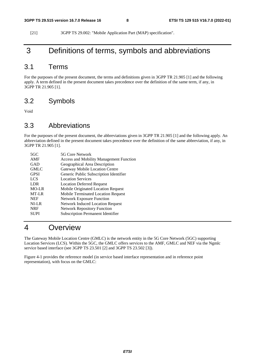[21] 3GPP TS 29.002: "Mobile Application Part (MAP) specification".

# 3 Definitions of terms, symbols and abbreviations

# 3.1 Terms

For the purposes of the present document, the terms and definitions given in 3GPP TR 21.905 [1] and the following apply. A term defined in the present document takes precedence over the definition of the same term, if any, in 3GPP TR 21.905 [1].

# 3.2 Symbols

Void

# 3.3 Abbreviations

For the purposes of the present document, the abbreviations given in 3GPP TR 21.905 [1] and the following apply. An abbreviation defined in the present document takes precedence over the definition of the same abbreviation, if any, in 3GPP TR 21.905 [1].

| 5G Core Network                                |
|------------------------------------------------|
| <b>Access and Mobility Management Function</b> |
| Geographical Area Description                  |
| Gateway Mobile Location Centre                 |
| Generic Public Subscription Identifier         |
| <b>Location Services</b>                       |
| <b>Location Deferred Request</b>               |
| Mobile Originated Location Request             |
| <b>Mobile Terminated Location Request</b>      |
| <b>Network Exposure Function</b>               |
| <b>Network Induced Location Request</b>        |
| <b>Network Repository Function</b>             |
| <b>Subscription Permanent Identifier</b>       |
|                                                |

# 4 Overview

The Gateway Mobile Location Centre (GMLC) is the network entity in the 5G Core Network (5GC) supporting Location Services (LCS). Within the 5GC, the GMLC offers services to the AMF, GMLC and NEF via the Ngmlc service based interface (see 3GPP TS 23.501 [2] and 3GPP TS 23.502 [3]).

Figure 4-1 provides the reference model (in service based interface representation and in reference point representation), with focus on the GMLC: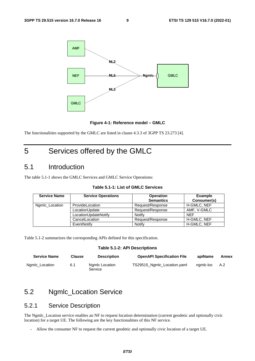

**Figure 4-1: Reference model – GMLC** 

The functionalities supported by the GMLC are listed in clause 4.3.3 of 3GPP TS 23.273 [4].

# 5 Services offered by the GMLC

# 5.1 Introduction

The table 5.1-1 shows the GMLC Services and GMLC Service Operations:

| <b>Service Name</b> | <b>Service Operations</b> | <b>Operation</b><br><b>Semantics</b> | <b>Example</b><br>Consumer(s) |
|---------------------|---------------------------|--------------------------------------|-------------------------------|
| Ngmlc_Location      | ProvideLocation           | Request/Response                     | H-GMLC, NEF                   |
|                     | LocationUpdate            | Request/Response                     | AMF. V-GMLC                   |
|                     | LocationUpdateNotify      | Notify                               | <b>NEF</b>                    |
|                     | CancelLocation            | Request/Response                     | H-GMLC, NEF                   |
|                     | EventNotify               | Notify                               | H-GMLC, NEF                   |

#### **Table 5.1-1: List of GMLC Services**

Table 5.1-2 summarizes the corresponding APIs defined for this specification.

#### **Table 5.1-2: API Descriptions**

| <b>Service Name</b> | Clause | <b>Description</b>        | <b>OpenAPI Specification File</b> | apiName   | Annex |
|---------------------|--------|---------------------------|-----------------------------------|-----------|-------|
| Ngmlc Location      | 6.1    | Ngmlc Location<br>Service | TS29515_Ngmlc_Location.yaml       | namic-loc | A.2   |

# 5.2 Ngmlc\_Location Service

### 5.2.1 Service Description

The Ngmlc\_Location service enables an NF to request location determination (current geodetic and optionally civic location) for a target UE. The following are the key functionalities of this NF service.

- Allow the consumer NF to request the current geodetic and optionally civic location of a target UE.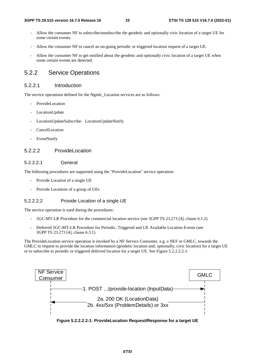- Allow the consumer NF to subscribe/unsubscribe the geodetic and optionally civic location of a target UE for some certain events.
- Allow the consumer NF to cancel an on-going periodic or triggered location request of a target UE.
- Allow the consumer NF to get notified about the geodetic and optionally civic location of a target UE when some certain events are detected.

# 5.2.2 Service Operations

#### 5.2.2.1 Introduction

The service operations defined for the Ngmlc\_Location services are as follows:

- ProvideLocation
- LocationUpdate
- LocationUpdateSubscribe- LocationUpdateNotify
- **CancelLocation**
- EventNotify

#### 5.2.2.2.2 ProvideLocation

#### 5.2.2.2.1 General

The following procedures are supported using the "ProvideLocation" service operation:

- Provide Location of a single UE
- Provide Locaitons of a group of UEs

#### 5.2.2.2.2 Provide Location of a single UE

The service operation is used during the procedures:

- 5GC-MT-LR Procedure for the commercial location service (see 3GPP TS 23.273 [4], clause 6.1.2)
- Deferred 5GC-MT-LR Procedure for Periodic, Triggered and UE Available Location Events (see 3GPP TS 23.273 [4], clause 6.3.1)

The ProvideLocation service operation is invoked by a NF Service Consumer, e.g. a NEF or GMLC, towards the GMLC to request to provide the location information (geodetic location and, optionally, civic location) for a target UE or to subscribe to periodic or triggered deferred location for a target UE. See Figure 5.2.2.2.2-1.



**Figure 5.2.2.2.2-1: ProvideLocation Request/Response for a target UE**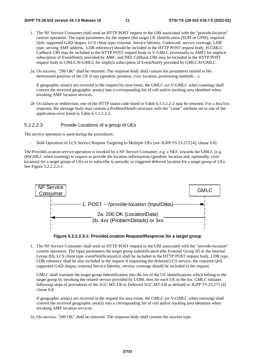- 1. The NF Service Consumer shall send an HTTP POST request to the URI associated with the "provide-location" custom operation. The input parameters for the request (the target UE identification (SUPI or GPSI), required QoS, supported GAD shapes, LCS client type, external Service Identity, Codeword, service coverage, LDR type, serving AMF address, LDR reference) should be included in the HTTP POST request body, H-GMLC Callback URI may be included in the HTTP POST request body to V-GMLC (eventually to AMF) for implicit subscrpiton of EventNotify provided by AMF, and NEF Callback URI may be included in the HTTP POST request body to GMLC/H-GMLC for implicit subscrpiton of EventNotify provided by GMLC/H-GMLC.
- 2a. On success, "200 OK" shall be returned. The response body shall contain the parameters related to the determined position of the UE if any (geodetic position, civic location, positioning methods…).

If geographic area(s) are received in the request for area event, the GMLC (or V-GMLC when roaming) shall convert the received geographic area(s) into a corresponding list of cell and/or tracking area identities when invoking AMF location services.

2b On failure or redirection, one of the HTTP status code listed in Table 6.1.3.2.2-2 may be returned. For a 4xx/5xx response, the message body may contain a ProblemDetails structure with the "cause" attribute set to one of the application error listed in Table 6.1.3.2.2-2.

#### 5.2.2.2.3 Provide Locations of a group of UEs

The service operation is used during the procedures:

- Bulk Operation of LCS Service Request Targeting to Multiple UEs (see 3GPP TS 23.273 [4], clause 6.8)

The ProvideLocation service operation is invoked by a NF Service Consumer, e.g. a NEF, towards the GMLC (e.g. (H)GMLC when roaming) to request to provide the location informations (geodetic location and, optionally, civic location) for a target group of UEs or to subscribe to periodic or triggered deferred location for a target group of UEs. See Figure 5.2.2.2.3-1.



**Figure 5.2.2.2.3-1: ProvideLocation Request/Response for a target group** 

1. The NF Service Consumer shall send an HTTP POST request to the URI associated with the "provide-location" custom operation. The input parameters the target group indentification (the External Group ID or the Internal Group ID), LCS client type, eventNotificationUri shall be included in the HTTP POST request body, LDR type, LDR reference shall be also included in the request if requesting the deferred LCS service, the required OoS, supported GAD shapes, external Service Identity, service coverage should be included in the request.

GMLC shall translate the target group indentification into the list of the UE identifications which belong to the target group by invoking the related service provided by UDM, then for each UE in the list, GMLC initiates following steps of procedures of the 5GC-MT-LR or Deferred 5GC-MT-LR as defined in 3GPP TS 23.273 [4] clause 6.8.

If geographic area(s) are received in the request for area event, the GMLC (or V-GMLC when roaming) shall convert the received geographic area(s) into a corresponding list of cell and/or tracking area identities when invoking AMF location services.

2a. On success, "200 OK" shall be returned. The response body shall contain the success type.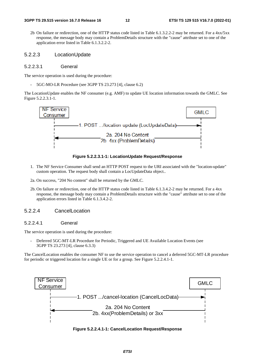2b On failure or redirection, one of the HTTP status code listed in Table 6.1.3.2.2-2 may be returned. For a 4xx/5xx response, the message body may contain a ProblemDetails structure with the "cause" attribute set to one of the application error listed in Table 6.1.3.2.2-2.

#### 5.2.2.3 LocationUpdate

#### 5.2.2.3.1 General

The service operation is used during the procedure:

- 5GC-MO-LR Procedure (see 3GPP TS 23.273 [4], clause 6.2)

The LocationUpdate enables the NF consumer (e.g. AMF) to update UE location information towards the GMLC. See Figure 5.2.2.3.1-1.





- 1. The NF Service Consumer shall send an HTTP POST request to the URI associated with the "location-update" custom operation. The request body shall contain a LocUpdateData object..
- 2a. On success, "204 No content" shall be returned by the GMLC.
- 2b. On failure or redirection, one of the HTTP status code listed in Table 6.1.3.4.2-2 may be returned. For a 4xx response, the message body may contain a ProblemDetails structure with the "cause" attribute set to one of the application errors listed in Table 6.1.3.4.2-2.

#### 5.2.2.4 CancelLocation

#### 5.2.2.4.1 General

The service operation is used during the procedure:

Deferred 5GC-MT-LR Procedure for Periodic, Triggered and UE Available Location Events (see 3GPP TS 23.273 [4], clause 6.3.3)

The CancelLocation enables the consumer NF to use the service operation to cancel a deferred 5GC-MT-LR procedure for periodic or triggered location for a single UE or for a group. See Figure 5.2.2.4.1-1.



**Figure 5.2.2.4.1-1: CancelLocation Request/Response**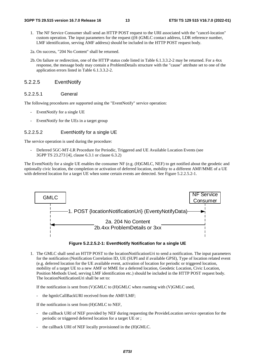- 1. The NF Service Consumer shall send an HTTP POST request to the URI associated with the "cancel-location" custom operation. The input parameters for the request ((H-)GMLC contact address, LDR reference number, LMF identification, serving AMF address) should be included in the HTTP POST request body.
- 2a. On success, "204 No Content" shall be returned.
- 2b. On failure or redirection, one of the HTTP status code listed in Table 6.1.3.3.2-2 may be returned. For a 4xx response, the message body may contain a ProblemDetails structure with the "cause" attribute set to one of the application errors listed in Table 6.1.3.3.2-2.

#### 5.2.2.5 EventNotify

#### 5.2.2.5.1 General

The following procedures are supported using the "EventNotify" service operation:

- EventNotify for a single UE
- EventNotify for the UEs in a target group

#### 5.2.2.5.2 EventNotify for a single UE

The service operation is used during the procedure:

Deferred 5GC-MT-LR Procedure for Periodic, Triggered and UE Available Location Events (see 3GPP TS 23.273 [4], clause 6.3.1 or clause 6.3.2)

The EventNotify for a single UE enables the consumer NF (e.g. (H)GMLC, NEF) to get notified about the geodetic and optionally civic location, the completion or activation of deferred location, mobility to a different AMF/MME of a UE with deferred location for a target UE when some certain events are detected. See Figure 5.2.2.5.2-1.





1. The GMLC shall send an HTTP POST to the locationNotificationUri to send a notification. The input parameters for the notification (Notification Correlation ID, UE (SUPI and if available GPSI), Type of location related event (e.g. deferred location for the UE available event, activation of location for periodic or triggered location, mobility of a target UE to a new AMF or MME for a deferred location, Geodetic Location, Civic Location, Position Methods Used, serving LMF identification etc.) should be included in the HTTP POST request body. The locationNotificationUri shall be set to:

If the notification is sent from (V)GMLC to (H)GMLC when roaming with (V)GMLC used,

the hgmlcCallBackURI received from the AMF/LMF;

If the notification is sent from (H)GMLC to NEF,

- the callback URI of NEF provided by NEF during requesting the ProvideLocation service operation for the periodic or triggered deferred location for a target UE or ;
- the callback URI of NEF locally provisioned in the (H)GMLC.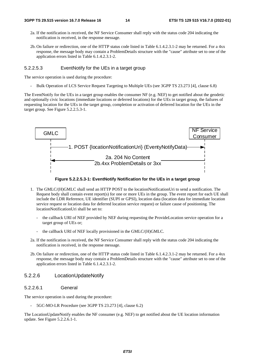- 2a. If the notification is received, the NF Service Consumer shall reply with the status code 204 indicating the notification is received, in the response message.
- 2b. On failure or redirection, one of the HTTP status code listed in Table 6.1.4.2.3.1-2 may be returned. For a 4xx response, the message body may contain a ProblemDetails structure with the "cause" attribute set to one of the application errors listed in Table 6.1.4.2.3.1-2.

#### 5.2.2.5.3 EventNotify for the UEs in a target group

The service operation is used during the procedure:

- Bulk Operation of LCS Service Request Targeting to Multiple UEs (see 3GPP TS 23.273 [4], clause 6.8)

The EventNotify for the UEs in a target group enables the consumer NF (e.g. NEF) to get notified about the geodetic and optionally civic locations (immediate locations or deferred locations) for the UEs in target group, the failures of requesting location for the UEs in the target group, completion or activation of deferred location for the UEs in the target group. See Figure 5.2.2.5.3-1.



**Figure 5.2.2.5.3-1: EventNotify Notification for the UEs in a target group** 

- 1. The GMLC/(H)GMLC shall send an HTTP POST to the locationNotificationUri to send a notification. The Request body shall contain event report(s) for one or more UEs in the group. The event report for each UE shall include the LDR Reference, UE identifier (SUPI or GPSI), location data (location data for immediate location service request or location data for deferred location service request) or failure cause of positioning. The locationNotificationUri shall be set to:
	- the callback URI of NEF provided by NEF during requesting the ProvideLocation service operation for a target group of UEs or;
	- the callback URI of NEF locally provisioned in the GMLC/(H)GMLC.
- 2a. If the notification is received, the NF Service Consumer shall reply with the status code 204 indicating the notification is received, in the response message.
- 2b. On failure or redirection, one of the HTTP status code listed in Table 6.1.4.2.3.1-2 may be returned. For a 4xx response, the message body may contain a ProblemDetails structure with the "cause" attribute set to one of the application errors listed in Table 6.1.4.2.3.1-2.

#### 5.2.2.6 LocationUpdateNotify

#### 5.2.2.6.1 General

The service operation is used during the procedure:

- 5GC-MO-LR Procedure (see 3GPP TS 23.273 [4], clause 6.2)

The LocationUpdateNotify enables the NF consumer (e.g. NEF) to get notified about the UE location information update. See Figure 5.2.2.6.1-1.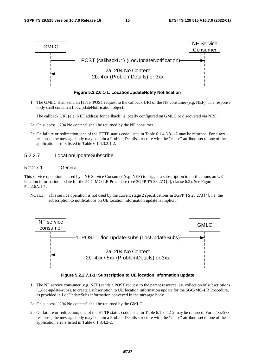

**Figure 5.2.2.6.1-1: LocationUpdateNotify Notification** 

1. The GMLC shall send an HTTP POST request to the callback URI of the NF consumer (e.g. NEF). The response body shall contain a LocUpdateNotification object.

The callback URI (e.g. NEF address for callback) is locally configured on GMLC or discovered via NRF.

- 2a. On success, "204 No content" shall be returned by the NF consumer.
- 2b. On failure or redirection, one of the HTTP status code listed in Table 6.1.4.3.3.1-2 may be returned. For a 4xx response, the message body may contain a ProblemDetails structure with the "cause" attribute set to one of the application errors listed in Table 6.1.4.3.3.1-2.

#### 5.2.2.7 LocationUpdateSubscribe

#### 5.2.2.7.1 General

This service operation is used by a NF Service Consumer (e.g. NEF) to trigger a subscription to notifications on UE location information update for the 5GC-MO-LR Procedure (see 3GPP TS 23.273 [4], clause 6.2). See Figure 5.2.2.6A.1-1.

NOTE: This service operation is not used by the current stage 2 specifications in 3GPP TS 23.273 [4], i.e. the subscription to notifications on UE location information update is implicit.



**Figure 5.2.2.7.1-1: Subscription to UE location information update** 

- 1. The NF service consumer (e.g. NEF) sends a POST request to the parent resource, i.e. collection of subscriptions (.../loc-update-subs), to create a subscription to UE location information update for the 5GC-MO-LR Procedure, as provided in LocUpdateSubs information conveyed in the message body.
- 2a. On success, "204 No content" shall be returned by the GMLC.
- 2b. On failure or redirection, one of the HTTP status code listed in Table 6.1.3.4.2-2 may be returned. For a 4xx/5xx response, the message body may contain a ProblemDetails structure with the "cause" attribute set to one of the application errors listed in Table 6.1.3.4.2-2.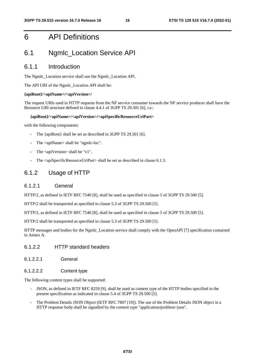# 6 API Definitions

# 6.1 Ngmlc\_Location Service API

#### 6.1.1 Introduction

The Ngmlc\_Location service shall use the Ngmlc\_Location API.

The API URI of the Ngmlc\_Location API shall be:

#### **{apiRoot}/<apiName>/<apiVersion>/**

The request URIs used in HTTP requests from the NF service consumer towards the NF service producer shall have the Resource URI structure defined in clause 4.4.1 of 3GPP TS 29.501 [6], i.e.:

#### **{apiRoot}/<apiName>/<apiVersion>/<apiSpecificResourceUriPart>**

with the following components:

- The {apiRoot} shall be set as described in 3GPP TS 29.501 [6].
- The <apiName> shall be "ngmlc-loc".
- The  $\langle$ apiVersion $>$ shall be "v1".
- The <apiSpecificResourceUriPart> shall be set as described in clause 6.1.3.

### 6.1.2 Usage of HTTP

#### 6.1.2.1 General

HTTP/2, as defined in IETF RFC 7540 [8], shall be used as specified in clause 5 of 3GPP TS 29.500 [5].

HTTP/2 shall be transported as specified in clause 5.3 of 3GPP TS 29.500 [5].

HTTP/2, as defined in IETF RFC 7540 [8], shall be used as specified in clause 5 of 3GPP TS 29.500 [5].

HTTP/2 shall be transported as specified in clause 5.3 of 3GPP TS 29.500 [5].

HTTP messages and bodies for the Ngmlc\_Location service shall comply with the OpenAPI [7] specification contained in Annex A.

#### 6.1.2.2 HTTP standard headers

6.1.2.2.1 General

#### 6.1.2.2.2 Content type

The following content types shall be supported:

- JSON, as defined in IETF RFC 8259 [9], shall be used as content type of the HTTP bodies specified in the present specification as indicated in clause 5.4 of 3GPP TS 29.500 [5].
- The Problem Details JSON Object (IETF RFC 7807 [10]). The use of the Problem Details JSON object in a HTTP response body shall be signalled by the content type "application/problem+json".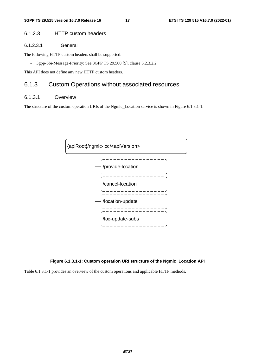#### 6.1.2.3 HTTP custom headers

#### 6.1.2.3.1 General

The following HTTP custom headers shall be supported:

- 3gpp-Sbi-Message-Priority: See 3GPP TS 29.500 [5], clause 5.2.3.2.2.

This API does not define any new HTTP custom headers.

### 6.1.3 Custom Operations without associated resources

#### 6.1.3.1 Overview

The structure of the custom operation URIs of the Ngmlc\_Location service is shown in Figure 6.1.3.1-1.



#### **Figure 6.1.3.1-1: Custom operation URI structure of the Ngmlc\_Location API**

Table 6.1.3.1-1 provides an overview of the custom operations and applicable HTTP methods.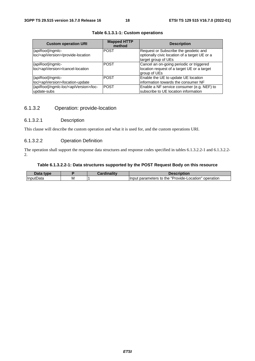| <b>Custom operation URI</b>                                         | <b>Mapped HTTP</b><br>method | <b>Description</b>                                                                     |
|---------------------------------------------------------------------|------------------------------|----------------------------------------------------------------------------------------|
| {apiRoot}/ngmlc-<br>loc/ <apiversion>/provide-location</apiversion> | <b>POST</b>                  | Request or Subscribe the geodetic and<br>optionally civic location of a target UE or a |
|                                                                     |                              | target group of UEs                                                                    |
| {apiRoot}/ngmlc-                                                    | <b>POST</b>                  | Cancel an on-going periodic or triggered                                               |
| loc/ <apiversion>/cancel-location</apiversion>                      |                              | location request of a target UE or a target                                            |
|                                                                     |                              | group of UEs                                                                           |
| {apiRoot}/ngmlc-                                                    | <b>POST</b>                  | Enable the UE to update UE location                                                    |
| loc/ <apiversion>/location-update</apiversion>                      |                              | information towards the consumer NF                                                    |
| {apiRoot}/ngmlc-loc/ <apiversion>/loc-</apiversion>                 | <b>POST</b>                  | Enable a NF service consumer (e.g. NEF) to                                             |
| update-subs                                                         |                              | subscribe to UE location information                                                   |

#### **Table 6.1.3.1-1: Custom operations**

### 6.1.3.2 Operation: provide-location

#### 6.1.3.2.1 Description

This clause will describe the custom operation and what it is used for, and the custom operations URI.

#### 6.1.3.2.2 Operation Definition

The operation shall support the response data structures and response codes specified in tables 6.1.3.2.2-1 and 6.1.3.2.2- 2.

#### **Table 6.1.3.2.2-1: Data structures supported by the POST Request Body on this resource**

| nata<br>tyne   |   | --<br>`ordinolity | Description                                                                                |
|----------------|---|-------------------|--------------------------------------------------------------------------------------------|
| Input<br>tData | M |                   | $\blacksquare$<br>.ocation"<br>operation<br>"Provide-L<br>the<br>parameters<br>Input<br>to |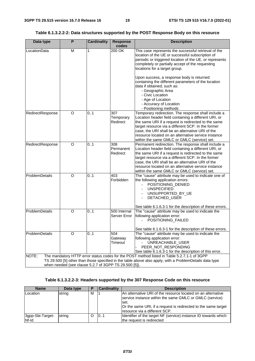#### **Table 6.1.3.2.2-2: Data structures supported by the POST Response Body on this resource**

| Data type                                                                                                                                                        | P | <b>Cardinality</b> | <b>Response</b><br>codes     | <b>Description</b>                                                                                                                                                                                                                                                                                                                                                                 |  |
|------------------------------------------------------------------------------------------------------------------------------------------------------------------|---|--------------------|------------------------------|------------------------------------------------------------------------------------------------------------------------------------------------------------------------------------------------------------------------------------------------------------------------------------------------------------------------------------------------------------------------------------|--|
| LocationData                                                                                                                                                     | M | 1                  | 200 OK                       | This case represents the successful retrieval of the<br>location of the UE or successful subscription of<br>periodic or triggered location of the UE, or represents<br>completely or partially accept of the requesting<br>locations for a target group.                                                                                                                           |  |
|                                                                                                                                                                  |   |                    |                              | Upon success, a response body is returned<br>containing the different parameters of the location<br>data if obtained, such as:<br>- Geographic Area<br>- Civic Location<br>- Age of Location<br>- Accuracy of Location<br>- Positioning methods                                                                                                                                    |  |
| RedirectResponse                                                                                                                                                 | O | 0.1                | 307<br>Temporary<br>Redirect | Temporary redirection. The response shall include a<br>Location header field containing a different URI, or<br>the same URI if a request is redirected to the same<br>target resource via a different SCP. In the former<br>case, the URI shall be an alternative URI of the<br>resource located on an alternative service instance<br>within the same GMLC or GMLC (service) set. |  |
| RedirectResponse                                                                                                                                                 | O | 0.1                | 308<br>Permanent<br>Redirect | Permanent redirection. The response shall include a<br>Location header field containing a different URI, or<br>the same URI if a request is redirected to the same<br>target resource via a different SCP. In the former<br>case, the URI shall be an alternative URI of the<br>resource located on an alternative service instance<br>within the same GMLC or GMLC (service) set. |  |
| ProblemDetails                                                                                                                                                   | O | 0.1                | 403<br>Forbidden             | The "cause" attribute may be used to indicate one of<br>the following application errors:<br>POSITIONING_DENIED<br><b>UNSPECIFIED</b><br>UNSUPPORTED_BY_UE<br>DETACHED_USER<br>See table 6.1.6.3-1 for the description of these errors.                                                                                                                                            |  |
| ProblemDetails                                                                                                                                                   | O | 0.1                | 500 Internal<br>Server Error | The "cause" attribute may be used to indicate the<br>following application error:<br>POSITIONING_FAILED                                                                                                                                                                                                                                                                            |  |
| ProblemDetails                                                                                                                                                   | O | 0.1                | 504<br>Gateway<br>Timeout    | See table 6.1.6.3-1 for the description of these errors.<br>The "cause" attribute may be used to indicate the<br>following application error:<br>UNREACHABLE_USER<br>PEER_NOT_RESPONDING<br>See table 6.1.6.3-1 for the description of this error.                                                                                                                                 |  |
| NOTE:                                                                                                                                                            |   |                    |                              | The mandatory HTTP error status codes for the POST method listed in Table 5.2.7.1-1 of 3GPP                                                                                                                                                                                                                                                                                        |  |
| TS 29.500 [5] other than those specified in the table above also apply, with a ProblemDetails data type<br>when needed (see clause 5.2.7 of 3GPP TS 29.500 [5]). |   |                    |                              |                                                                                                                                                                                                                                                                                                                                                                                    |  |

### **Table 6.1.3.2.2-3: Headers supported by the 307 Response Code on this resource**

| <b>Name</b>               | Data type | Р | <b>Cardinality</b> | <b>Description</b>                                                                                                                                                                                                                   |
|---------------------------|-----------|---|--------------------|--------------------------------------------------------------------------------------------------------------------------------------------------------------------------------------------------------------------------------------|
| Location                  | string    | м |                    | An alternative URI of the resource located on an alternative<br>service instance within the same GMLC or GMLC (service)<br>lset.<br>Or the same URI, if a request is redirected to the same target<br>Iresource via a different SCP. |
| 3gpp-Sbi-Target-<br>Nf-Id | string    |   | 0.1                | Identifier of the target NF (service) instance ID towards which<br>the request is redirected                                                                                                                                         |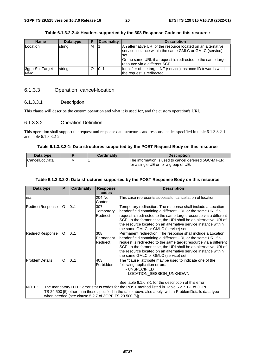| <b>Name</b>               | Data type | P | <b>Cardinality</b> | <b>Description</b>                                                                                                                                                                                                                   |
|---------------------------|-----------|---|--------------------|--------------------------------------------------------------------------------------------------------------------------------------------------------------------------------------------------------------------------------------|
| Location                  | string    | M |                    | IAn alternative URI of the resource located on an alternative<br>service instance within the same GMLC or GMLC (service)<br>set.<br>Or the same URI, if a request is redirected to the same target<br>Iresource via a different SCP. |
| 3gpp-Sbi-Target-<br>Nf-Id | string    |   | 0.1                | Identifier of the target NF (service) instance ID towards which<br>the request is redirected                                                                                                                                         |

#### **Table 6.1.3.2.2-4: Headers supported by the 308 Response Code on this resource**

#### 6.1.3.3 Operation: cancel-location

#### 6.1.3.3.1 Description

This clause will describe the custom operation and what it is used for, and the custom operation's URI.

#### 6.1.3.3.2 Operation Definition

This operation shall support the request and response data structures and response codes specified in table 6.1.3.3.2-1 and table 6.1.3.3.2-2.

#### **Table 6.1.3.3.2-1: Data structures supported by the POST Request Body on this resource**

| Data type            |   | <b>Cardinality</b> | <b>Description</b>                                   |
|----------------------|---|--------------------|------------------------------------------------------|
| <b>CancelLocData</b> | М |                    | The information is used to cancel deferred 5GC-MT-LR |
|                      |   |                    | for a single UE or for a group of UE.                |

#### **Table 6.1.3.3.2-2: Data structures supported by the POST Response Body on this resource**

| Data type        | P        | <b>Cardinality</b>                                    | <b>Response</b><br>codes     | <b>Description</b>                                                                                                                                                                                                                                                                                                                                                              |
|------------------|----------|-------------------------------------------------------|------------------------------|---------------------------------------------------------------------------------------------------------------------------------------------------------------------------------------------------------------------------------------------------------------------------------------------------------------------------------------------------------------------------------|
| n/a              |          |                                                       | 204 No<br>Content            | This case represents successful cancellation of location.                                                                                                                                                                                                                                                                                                                       |
| RedirectResponse | $\circ$  | 0.1                                                   | 307<br>Temporary<br>Redirect | Temporary redirection. The response shall include a Location<br>header field containing a different URI, or the same URI if a<br>request is redirected to the same target resource via a different<br>SCP. In the former case, the URI shall be an alternative URI of<br>the resource located on an alternative service instance within<br>the same GMLC or GMLC (service) set. |
| RedirectResponse | $\circ$  | 0.1                                                   | 308<br>Permanent<br>Redirect | Permanent redirection. The response shall include a Location<br>header field containing a different URI, or the same URI if a<br>request is redirected to the same target resource via a different<br>SCP. In the former case, the URI shall be an alternative URI of<br>the resource located on an alternative service instance within<br>the same GMLC or GMLC (service) set. |
| ProblemDetails   | $\Omega$ | 0.1                                                   | 403<br>Forbidden             | The "cause" attribute may be used to indicate one of the<br>following application errors:<br>- UNSPECIFIED<br>- LOCATION_SESSION_UNKNOWN<br>See table 6.1.6.3-1 for the description of this error.                                                                                                                                                                              |
| NOTE:            |          |                                                       |                              | The mandatory HTTP error status codes for the POST method listed in Table 5.2.7.1-1 of 3GPP                                                                                                                                                                                                                                                                                     |
|                  |          | when needed (see clause 5.2.7 of 3GPP TS 29.500 [5]). |                              | TS 29.500 [5] other than those specified in the table above also apply, with a ProblemDetails data type                                                                                                                                                                                                                                                                         |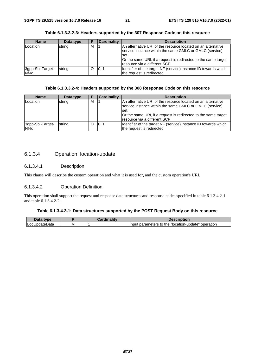| <b>Name</b>               | Data type | Р | <b>Cardinality</b> | <b>Description</b>                                                                                                                                                                                                                  |
|---------------------------|-----------|---|--------------------|-------------------------------------------------------------------------------------------------------------------------------------------------------------------------------------------------------------------------------------|
| Location                  | string    | M |                    | An alternative URI of the resource located on an alternative<br>service instance within the same GMLC or GMLC (service)<br>.set<br>Or the same URI, if a request is redirected to the same target<br>Iresource via a different SCP. |
| 3gpp-Sbi-Target-<br>Nf-Id | string    |   | 101                | Identifier of the target NF (service) instance ID towards which<br>the request is redirected                                                                                                                                        |

#### **Table 6.1.3.3.2-3: Headers supported by the 307 Response Code on this resource**

#### **Table 6.1.3.3.2-4: Headers supported by the 308 Response Code on this resource**

| <b>Name</b>               | Data type | в | <b>Cardinality</b> | <b>Description</b>                                                                                                                                                                                                                    |
|---------------------------|-----------|---|--------------------|---------------------------------------------------------------------------------------------------------------------------------------------------------------------------------------------------------------------------------------|
| Location                  | string    | м |                    | IAn alternative URI of the resource located on an alternative<br>service instance within the same GMLC or GMLC (service)<br>lset.<br>Or the same URI, if a request is redirected to the same target<br>Iresource via a different SCP. |
| 3gpp-Sbi-Target-<br>Nf-Id | string    |   | 101                | Identifier of the target NF (service) instance ID towards which<br>the request is redirected                                                                                                                                          |

### 6.1.3.4 Operation: location-update

#### 6.1.3.4.1 Description

This clause will describe the custom operation and what it is used for, and the custom operation's URI.

#### 6.1.3.4.2 Operation Definition

This operation shall support the request and response data structures and response codes specified in table 6.1.3.4.2-1 and table 6.1.3.4.2-2.

#### **Table 6.1.3.4.2-1: Data structures supported by the POST Request Body on this resource**

| <b>VDE</b>   |   | <b>STATISTICS</b> | עווטו.                                                         |
|--------------|---|-------------------|----------------------------------------------------------------|
| ∟oc⊑<br>Jala | M |                   | operation<br>parameters<br>'Iocation-upo<br>the<br>date"<br>to |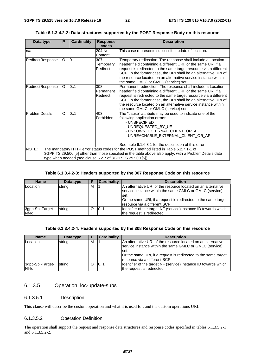| Data type        | P        | <b>Cardinality</b> | <b>Response</b><br>codes     | <b>Description</b>                                                                                                                                                                                                                                                                                                                                                              |
|------------------|----------|--------------------|------------------------------|---------------------------------------------------------------------------------------------------------------------------------------------------------------------------------------------------------------------------------------------------------------------------------------------------------------------------------------------------------------------------------|
| n/a              |          |                    | 204 No<br>Content            | This case represents successful update of location.                                                                                                                                                                                                                                                                                                                             |
| RedirectResponse | O        | 0.1                | 307<br>Temporary<br>Redirect | Temporary redirection. The response shall include a Location<br>header field containing a different URI, or the same URI if a<br>request is redirected to the same target resource via a different<br>SCP. In the former case, the URI shall be an alternative URI of<br>the resource located on an alternative service instance within<br>the same GMLC or GMLC (service) set. |
| RedirectResponse | O        | 0.1                | 308<br>Permanent<br>Redirect | Permanent redirection. The response shall include a Location<br>header field containing a different URI, or the same URI if a<br>request is redirected to the same target resource via a different<br>SCP. In the former case, the URI shall be an alternative URI of<br>the resource located on an alternative service instance within<br>the same GMLC or GMLC (service) set. |
| ProblemDetails   | $\Omega$ | 01                 | 403<br>Forbidden             | The "cause" attribute may be used to indicate one of the<br>following application errors:<br>- UNSPECIFIED<br>- UNREQUESTED BY UE<br>- UNKOWN EXTERNAL CLIENT OR AF<br>- UNREACHABLE_EXTERNAL_CLIENT_OR_AF                                                                                                                                                                      |
| NOTE:            |          |                    |                              | See table 6.1.6.3-1 for the description of this error.<br>The mandatory HTTP error status codes for the POST method listed in Table 5.2.7.1-1 of                                                                                                                                                                                                                                |
|                  |          |                    |                              | 3GPP TS 29.500 [5] other than those specified in the table above also apply, with a ProblemDetails data<br>type when needed (see clause 5.2.7 of 3GPP TS 29.500 [5]).                                                                                                                                                                                                           |

**Table 6.1.3.4.2-2: Data structures supported by the POST Response Body on this resource** 

#### **Table 6.1.3.4.2-3: Headers supported by the 307 Response Code on this resource**

| <b>Name</b>               | Data type | Е | <b>Cardinality</b> | <b>Description</b>                                                                                                                                                                                                                  |
|---------------------------|-----------|---|--------------------|-------------------------------------------------------------------------------------------------------------------------------------------------------------------------------------------------------------------------------------|
| Location                  | string    | м |                    | An alternative URI of the resource located on an alternative<br>service instance within the same GMLC or GMLC (service)<br>set.<br>Or the same URI, if a request is redirected to the same target<br>Iresource via a different SCP. |
| 3gpp-Sbi-Target-<br>Nf-Id | string    | O | 0.1                | Identifier of the target NF (service) instance ID towards which<br>the request is redirected                                                                                                                                        |

#### **Table 6.1.3.4.2-4: Headers supported by the 308 Response Code on this resource**

| <b>Name</b>               | Data type | Е | <b>Cardinality</b> | <b>Description</b>                                                                                                                                                                                                                  |
|---------------------------|-----------|---|--------------------|-------------------------------------------------------------------------------------------------------------------------------------------------------------------------------------------------------------------------------------|
| Location                  | string    | м |                    | An alternative URI of the resource located on an alternative<br>service instance within the same GMLC or GMLC (service)<br>set.<br>Or the same URI, if a request is redirected to the same target<br>Iresource via a different SCP. |
| 3gpp-Sbi-Target-<br>Nf-Id | string    |   | 0.1                | Identifier of the target NF (service) instance ID towards which<br>the request is redirected                                                                                                                                        |

#### 6.1.3.5 Operation: loc-update-subs

#### 6.1.3.5.1 Description

This clause will describe the custom operation and what it is used for, and the custom operations URI.

#### 6.1.3.5.2 Operation Definition

The operation shall support the request and response data structures and response codes specified in tables 6.1.3.5.2-1 and 6.1.3.5.2-2.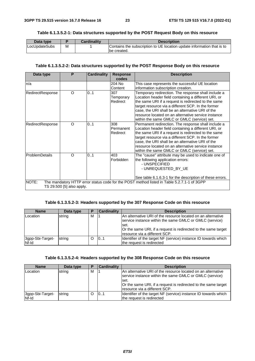#### **Table 6.1.3.5.2-1: Data structures supported by the POST Request Body on this resource**

| Data type             |   | Cardinalitv | <b>Description</b>                                                     |
|-----------------------|---|-------------|------------------------------------------------------------------------|
| <b>ILocUpdateSubs</b> | м |             | Contains the subscription to UE location update information that is to |
|                       |   |             | be created.                                                            |

#### **Table 6.1.3.5.2-2: Data structures supported by the POST Response Body on this resource**

| Data type                                                                                                                                                                                    | P | <b>Cardinality</b> | <b>Response</b><br>codes     | <b>Description</b>                                                                                                                                                                                                                                                                                                                                                                 |  |  |  |
|----------------------------------------------------------------------------------------------------------------------------------------------------------------------------------------------|---|--------------------|------------------------------|------------------------------------------------------------------------------------------------------------------------------------------------------------------------------------------------------------------------------------------------------------------------------------------------------------------------------------------------------------------------------------|--|--|--|
| n/a                                                                                                                                                                                          |   |                    | 204 No<br>Content            | This case represents the successful UE location<br>information subscription creation.                                                                                                                                                                                                                                                                                              |  |  |  |
| RedirectResponse                                                                                                                                                                             | O | 0.1                | 307<br>Temporary<br>Redirect | Temporary redirection. The response shall include a<br>Location header field containing a different URI, or<br>the same URI if a request is redirected to the same<br>target resource via a different SCP. In the former<br>case, the URI shall be an alternative URI of the<br>resource located on an alternative service instance<br>within the same GMLC or GMLC (service) set. |  |  |  |
| RedirectResponse                                                                                                                                                                             | O | 0.1                | 308<br>Permanent<br>Redirect | Permanent redirection. The response shall include a<br>Location header field containing a different URI, or<br>the same URI if a request is redirected to the same<br>target resource via a different SCP. In the former<br>case, the URI shall be an alternative URI of the<br>resource located on an alternative service instance<br>within the same GMLC or GMLC (service) set. |  |  |  |
| <b>ProblemDetails</b>                                                                                                                                                                        | O | 0.1                | 403<br>Forbidden             | The "cause" attribute may be used to indicate one of<br>the following application errors:<br>- UNSPECIFIED<br>- UNREQUESTED_BY_UE                                                                                                                                                                                                                                                  |  |  |  |
| See table 6.1.6.3-1 for the description of these errors.<br>NOTE:<br>The mandatory HTTP error status code for the POST method listed in Table 5.2.7.1-1 of 3GPP<br>TS 29.500 [5] also apply. |   |                    |                              |                                                                                                                                                                                                                                                                                                                                                                                    |  |  |  |

#### **Table 6.1.3.5.2-3: Headers supported by the 307 Response Code on this resource**

| <b>Name</b>               | Data type | P | <b>Cardinality</b> | <b>Description</b>                                                                                                                                                                                                                    |
|---------------------------|-----------|---|--------------------|---------------------------------------------------------------------------------------------------------------------------------------------------------------------------------------------------------------------------------------|
| Location                  | string    | м |                    | IAn alternative URI of the resource located on an alternative<br>service instance within the same GMLC or GMLC (service)<br>lset.<br>Or the same URI, if a request is redirected to the same target<br>Iresource via a different SCP. |
| 3gpp-Sbi-Target-<br>Nf-Id | string    | Ω | 0.1                | Identifier of the target NF (service) instance ID towards which<br>the request is redirected                                                                                                                                          |

#### **Table 6.1.3.5.2-4: Headers supported by the 308 Response Code on this resource**

| <b>Name</b>               | Data type | Р | <b>Cardinality</b> | <b>Description</b>                                                                                                               |
|---------------------------|-----------|---|--------------------|----------------------------------------------------------------------------------------------------------------------------------|
| Location                  | string    | м |                    | IAn alternative URI of the resource located on an alternative<br>service instance within the same GMLC or GMLC (service)<br>set. |
|                           |           |   |                    | Or the same URI, if a request is redirected to the same target<br>Iresource via a different SCP.                                 |
| 3gpp-Sbi-Target-<br>Nf-Id | string    |   | 101                | Identifier of the target NF (service) instance ID towards which<br>the request is redirected                                     |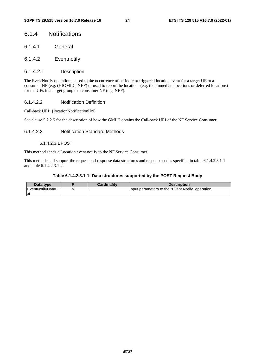### 6.1.4 Notifications

- 6.1.4.1 General
- 6.1.4.2 Eventnotify

#### 6.1.4.2.1 Description

The EventNotify operation is used to the occurrence of periodic or triggered location event for a target UE to a consumer NF (e.g. (H)GMLC, NEF) or used to report the locations (e.g. the immediate locations or deferred locations) for the UEs in a target group to a consumer NF (e.g. NEF).

#### 6.1.4.2.2 Notification Definition

Call-back URI: {locationNotificationUri}

See clause 5.2.2.5 for the description of how the GMLC obtains the Call-back URI of the NF Service Consumer.

#### 6.1.4.2.3 Notification Standard Methods

#### 6.1.4.2.3.1 POST

This method sends a Location event notify to the NF Service Consumer.

This method shall support the request and response data structures and response codes specified in table 6.1.4.2.3.1-1 and table 6.1.4.2.3.1-2.

#### **Table 6.1.4.2.3.1-1: Data structures supported by the POST Request Body**

| Data type               |   | <b>Cardinality</b> | <b>Description</b>                               |
|-------------------------|---|--------------------|--------------------------------------------------|
| <b>EventNotifvDataE</b> | м |                    | Input parameters to the "Event Notify" operation |
| -lxt                    |   |                    |                                                  |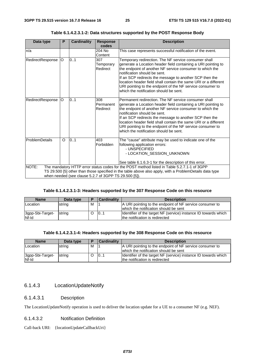| Data type        | P        | <b>Cardinality</b>                                    | <b>Response</b><br>codes     | <b>Description</b>                                                                                                                                                                                                                                                                                                                                                                                                                                      |
|------------------|----------|-------------------------------------------------------|------------------------------|---------------------------------------------------------------------------------------------------------------------------------------------------------------------------------------------------------------------------------------------------------------------------------------------------------------------------------------------------------------------------------------------------------------------------------------------------------|
| ln/a             |          |                                                       | 204 No<br>Content            | This case represents successful notification of the event.                                                                                                                                                                                                                                                                                                                                                                                              |
| RedirectResponse | IO.      | 0.1                                                   | 307<br>Temporary<br>Redirect | Temporary redirection. The NF service consumer shall<br>generate a Location header field containing a URI pointing to<br>the endpoint of another NF service consumer to which the<br>notification should be sent.<br>If an SCP redirects the message to another SCP then the<br>location header field shall contain the same URI or a different<br>URI pointing to the endpoint of the NF service consumer to<br>which the notification should be sent. |
| RedirectResponse | lO.      | 0.1                                                   | 308<br>Permanent<br>Redirect | Permanent redirection. The NF service consumer shall<br>generate a Location header field containing a URI pointing to<br>the endpoint of another NF service consumer to which the<br>notification should be sent.<br>If an SCP redirects the message to another SCP then the<br>location header field shall contain the same URI or a different<br>URI pointing to the endpoint of the NF service consumer to<br>which the notification should be sent. |
| ProblemDetails   | $\Omega$ | 0.1                                                   | 403<br>Forbidden             | The "cause" attribute may be used to indicate one of the<br>following application errors:<br>- UNSPECIFIED<br>- LOCATION_SESSION_UNKNOWN<br>See table 6.1.6.3-1 for the description of this error.                                                                                                                                                                                                                                                      |
| NOTE:            |          |                                                       |                              | The mandatory HTTP error status codes for the POST method listed in Table 5.2.7.1-1 of 3GPP                                                                                                                                                                                                                                                                                                                                                             |
|                  |          | when needed (see clause 5.2.7 of 3GPP TS 29.500 [5]). |                              | TS 29.500 [5] other than those specified in the table above also apply, with a ProblemDetails data type                                                                                                                                                                                                                                                                                                                                                 |

| Table 6.1.4.2.3.1-2: Data structures supported by the POST Response Body |  |
|--------------------------------------------------------------------------|--|
|                                                                          |  |

#### **Table 6.1.4.2.3.1-3: Headers supported by the 307 Response Code on this resource**

| <b>Name</b>               | Data type | ╺ | Cardinality | <b>Description</b>                                                                                |
|---------------------------|-----------|---|-------------|---------------------------------------------------------------------------------------------------|
| Location                  | string    | м |             | A URI pointing to the endpoint of NF service consumer to<br>which the notification should be sent |
| 3gpp-Sbi-Target-<br>Nf-Id | string    |   | 101         | Identifier of the target NF (service) instance ID towards which<br>the notification is redirected |

#### **Table 6.1.4.2.3.1-4: Headers supported by the 308 Response Code on this resource**

| <b>Name</b>               | Data type | E | <b>Cardinality</b> | <b>Description</b>                                                                                |
|---------------------------|-----------|---|--------------------|---------------------------------------------------------------------------------------------------|
| Location                  | string    | M |                    | A URI pointing to the endpoint of NF service consumer to                                          |
|                           |           |   |                    | which the notification should be sent                                                             |
| 3gpp-Sbi-Target-<br>Nf-Id | string    |   | 101                | Identifier of the target NF (service) instance ID towards which<br>the notification is redirected |

#### 6.1.4.3 LocationUpdateNotify

#### 6.1.4.3.1 Description

The LocationUpdateNotify operation is used to deliver the location update for a UE to a consumer NF (e.g. NEF).

#### 6.1.4.3.2 Notification Definition

Call-back URI: {locationUpdateCallbackUri}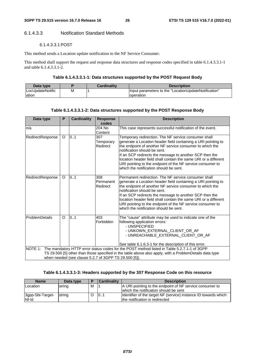#### 6.1.4.3.3 Notification Standard Methods

#### 6.1.4.3.3.1 POST

This method sends a Location update notification to the NF Service Consumer.

This method shall support the request and response data structures and response codes specified in table 6.1.4.3.3.1-1 and table 6.1.4.3.3.1-2.

#### **Table 6.1.4.3.3.1-1: Data structures supported by the POST Request Body**

| Data type        |   | <b>Cardinality</b> | <b>Description</b>                                    |
|------------------|---|--------------------|-------------------------------------------------------|
| LocUpdateNotific | Μ |                    | llnput parameters to the "LocationUpdateNotification" |
| lation           |   |                    | operation                                             |

#### **Table 6.1.4.3.3.1-2: Data structures supported by the POST Response Body**

| Data type        | P       | <b>Cardinality</b>                                    | <b>Response</b><br>codes     | <b>Description</b>                                                                                                                                                                                                                                                                                                                                                                                                                                      |
|------------------|---------|-------------------------------------------------------|------------------------------|---------------------------------------------------------------------------------------------------------------------------------------------------------------------------------------------------------------------------------------------------------------------------------------------------------------------------------------------------------------------------------------------------------------------------------------------------------|
| n/a              |         |                                                       | 204 No<br>Content            | This case represents successful notification of the event.                                                                                                                                                                                                                                                                                                                                                                                              |
| RedirectResponse | $\circ$ | 0.1                                                   | 307<br>Temporary<br>Redirect | Temporary redirection. The NF service consumer shall<br>generate a Location header field containing a URI pointing to<br>the endpoint of another NF service consumer to which the<br>notification should be sent.<br>If an SCP redirects the message to another SCP then the<br>location header field shall contain the same URI or a different<br>URI pointing to the endpoint of the NF service consumer to<br>which the notification should be sent. |
| RedirectResponse | $\circ$ | 0.1                                                   | 308<br>Permanent<br>Redirect | Permanent redirection. The NF service consumer shall<br>generate a Location header field containing a URI pointing to<br>the endpoint of another NF service consumer to which the<br>notification should be sent.<br>If an SCP redirects the message to another SCP then the<br>location header field shall contain the same URI or a different<br>URI pointing to the endpoint of the NF service consumer to<br>which the notification should be sent. |
| ProblemDetails   | O       | 01                                                    | 403<br>Forbidden             | The "cause" attribute may be used to indicate one of the<br>following application errors:<br>- UNSPECIFIED<br>- UNKOWN_EXTERNAL_CLIENT_OR_AF<br>- UNREACHABLE_EXTERNAL_CLIENT_OR_AF<br>See table 6.1.6.3-1 for the description of this error.                                                                                                                                                                                                           |
|                  |         |                                                       |                              | NOTE 1: The mandatory HTTP error status codes for the POST method listed in Table 5.2.7.1-1 of 3GPP                                                                                                                                                                                                                                                                                                                                                     |
|                  |         | when needed (see clause 5.2.7 of 3GPP TS 29.500 [5]). |                              | TS 29.500 [5] other than those specified in the table above also apply, with a ProblemDetails data type                                                                                                                                                                                                                                                                                                                                                 |

#### **Table 6.1.4.3.3.1-3: Headers supported by the 307 Response Code on this resource**

| <b>Name</b>               | Data type | E | <b>Cardinality</b> | <b>Description</b>                                                                                |
|---------------------------|-----------|---|--------------------|---------------------------------------------------------------------------------------------------|
| Location                  | string    | м |                    | A URI pointing to the endpoint of NF service consumer to<br>which the notification should be sent |
| 3gpp-Sbi-Target-<br>Nf-Id | string    |   | 101                | Identifier of the target NF (service) instance ID towards which<br>the notification is redirected |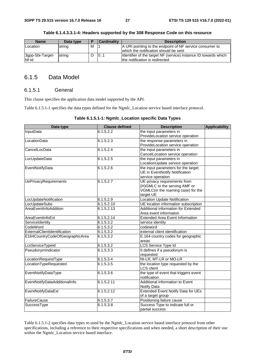| <b>Name</b>               | Data type | $\overline{\phantom{a}}$ | <b>Cardinality</b> | <b>Description</b>                                                                                |
|---------------------------|-----------|--------------------------|--------------------|---------------------------------------------------------------------------------------------------|
| Location                  | string    | м                        |                    | A URI pointing to the endpoint of NF service consumer to<br>which the notification should be sent |
| 3gpp-Sbi-Target-<br>Nf-Id | Istrina   |                          | 101                | Identifier of the target NF (service) instance ID towards which<br>the notification is redirected |

**Table 6.1.4.3.3.1-4: Headers supported by the 308 Response Code on this resource** 

### 6.1.5 Data Model

#### 6.1.5.1 General

This clause specifies the application data model supported by the API.

Table 6.1.5.1-1 specifies the data types defined for the Ngmlc\_Location service based interface protocol.

#### **Table 6.1.5.1-1: Ngmlc\_Location specific Data Types**

| Data type                       | <b>Clause defined</b> | <b>Description</b>                        | <b>Applicability</b> |
|---------------------------------|-----------------------|-------------------------------------------|----------------------|
| InputData                       | 6.1.5.2.2             | the input parameters in                   |                      |
|                                 |                       | ProvideLocation service operation         |                      |
| LocationData                    | 6.1.5.2.3             | the response parameters in                |                      |
|                                 |                       | ProvideLocation service operation         |                      |
| CancelLocData                   | 6.1.5.2.4             | the input parameters in                   |                      |
|                                 |                       | CancelLocation service operation          |                      |
| LocUpdateData                   | 6.1.5.2.5             | the input parameters in                   |                      |
|                                 |                       | LocationUpdate service operation          |                      |
| EventNotifyData                 | 6.1.5.2.6             | the input parameters for the target       |                      |
|                                 |                       | <b>UE</b> in EventNotify Notification     |                      |
|                                 |                       | service operation                         |                      |
| <b>UePrivacyRequirements</b>    | 6.1.5.2.7             | UE privacy requirements from              |                      |
|                                 |                       | (H)GMLC to the serving AMF or             |                      |
|                                 |                       | VGMLC(in the roaming case) for the        |                      |
|                                 |                       | target UE                                 |                      |
| LocUpdateNotification           | 6.1.5.2.9             | Location Update Notification              |                      |
| LocUpdateSubs                   | 6.1.5.2.10            | UE location information subscription      |                      |
| AreaEventInfoAddition           | 6.1.5.2.13            | Additional information for Extended       |                      |
|                                 |                       | Area event information                    |                      |
| AreaEventInfoExt                | 6.1.5.2.14            | <b>Extended Area Event Information</b>    |                      |
| ServiceIdentity                 | 6.1.5.3.2             | service identity                          |                      |
| CodeWord                        | 6.1.5.3.2             | codeword                                  |                      |
| ExternalClientIdentification    | 6.1.5.3.2             | external client identification            |                      |
| E164CountryCodeOfGeographicArea | 6.1.5.3.2             | E.164 country codes for geographic        |                      |
|                                 |                       | areas                                     |                      |
| LcsServiceTypeId                | 6.1.5.3.2             | LCS Service Type Id                       |                      |
| PseudonymIndicator              | 6.1.5.3.3             | It defines if a pseudonym is              |                      |
|                                 |                       | requested                                 |                      |
| LocationRequestType             | 6.1.5.3.4             | NI-LR, MT-LR or MO-LR                     |                      |
| LocationTypeRequested           | 6.1.5.3.5             | the location type requested by the        |                      |
|                                 |                       | <b>LCS</b> client                         |                      |
| EventNotifyDataType             | 6.1.5.3.6             | the type of event that triggers event     |                      |
|                                 |                       | notification                              |                      |
| EventNotifyDataAdditionalInfo   | 6.1.5.2.11            | Additional information to Event           |                      |
|                                 |                       | Notify Data                               |                      |
| EventNotifyDataExt              | 6.1.5.2.12            | <b>Extended Event Notify Data for UEs</b> |                      |
|                                 |                       | of a target group                         |                      |
| FailureCause                    | 6.1.5.3.7             | Positioning failure cause                 |                      |
| SuccessType                     | 6.1.5.3.8             | Success Type to indicate full or          |                      |
|                                 |                       | partial success                           |                      |

Table 6.1.5.1-2 specifies data types re-used by the Ngmlc\_Location service based interface protocol from other specifications, including a reference to their respective specifications and when needed, a short description of their use within the Ngmlc\_Location service based interface.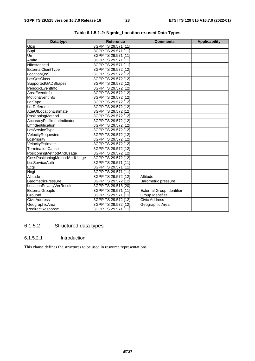| Data type                     | <b>Reference</b>    | <b>Comments</b>                  | <b>Applicability</b> |
|-------------------------------|---------------------|----------------------------------|----------------------|
| Gpsi                          | 3GPP TS 29.571 [11] |                                  |                      |
| Supi                          | 3GPP TS 29.571 [11] |                                  |                      |
| Uri                           | 3GPP TS 29.571 [11] |                                  |                      |
| Amfld                         | 3GPP TS 29.571 [11] |                                  |                      |
| Nflnstanceld                  | 3GPP TS 29.571 [11] |                                  |                      |
| ExternalClientType            | 3GPP TS 29.572 [12] |                                  |                      |
| LocationQoS                   | 3GPP TS 29.572 [12] |                                  |                      |
| <b>LcsQosClass</b>            | 3GPP TS 29.572 [12] |                                  |                      |
| SupportedGADShapes            | 3GPP TS 29.572 [12] |                                  |                      |
| PeriodicEventInfo             | 3GPP TS 29.572 [12] |                                  |                      |
| AreaEventInfo                 | 3GPP TS 29.572 [12] |                                  |                      |
| MotionEventInfo               | 3GPP TS 29.572 [12] |                                  |                      |
| LdrType                       | 3GPP TS 29.572 [12] |                                  |                      |
| LdrReference                  | 3GPP TS 29.572 [12] |                                  |                      |
| AgeOfLocationEstimate         | 3GPP TS 29.572 [12] |                                  |                      |
| PositioningMethod             | 3GPP TS 29.572 [12] |                                  |                      |
| AccuracyFulfilmentIndicator   | 3GPP TS 29.572 [12] |                                  |                      |
| Lmfldentification             | 3GPP TS 29.572 [12] |                                  |                      |
| LcsServiceType                | 3GPP TS 29.572 [12] |                                  |                      |
| VelocityRequested             | 3GPP TS 29.572 [12] |                                  |                      |
| LcsPriority                   | 3GPP TS 29.572 [12] |                                  |                      |
| VelocityEstimate              | 3GPP TS 29.572 [12] |                                  |                      |
| <b>TerminationCause</b>       | 3GPP TS 29.572 [12] |                                  |                      |
| PositioningMethodAndUsage     | 3GPP TS 29.572 [12] |                                  |                      |
| GnssPositioningMethodAndUsage | 3GPP TS 29.572 [12] |                                  |                      |
| <b>LcsServiceAuth</b>         | 3GPP TS 29.571 [11] |                                  |                      |
| Ecgi                          | 3GPP TS 29.571 [11] |                                  |                      |
| Ncgi                          | 3GPP TS 29.571 [11] |                                  |                      |
| Altitude                      | 3GPP TS 29.572 [12] | Altitude                         |                      |
| <b>BarometricPressure</b>     | 3GPP TS 29.572 [12] | Barometric pressure              |                      |
| LocationPrivacyVerResult      | 3GPP TS 29.518 [20] |                                  |                      |
| ExternalGroupId               | 3GPP TS 29.571 [11] | <b>External Group Identifier</b> |                      |
| GroupId                       | 3GPP TS 29.571 [11] | Group Identifier                 |                      |
| <b>CivicAddress</b>           | 3GPP TS 29.572 [12] | <b>Civic Address</b>             |                      |
| GeographicArea                | 3GPP TS 29.572 [12] | Geographic Area                  |                      |
| RedirectResponse              | 3GPP TS 29.571 [11] |                                  |                      |

**Table 6.1.5.1-2: Ngmlc\_Location re-used Data Types** 

### 6.1.5.2 Structured data types

### 6.1.5.2.1 Introduction

This clause defines the structures to be used in resource representations.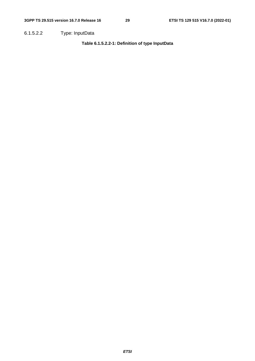6.1.5.2.2 Type: InputData

**Table 6.1.5.2.2-1: Definition of type InputData**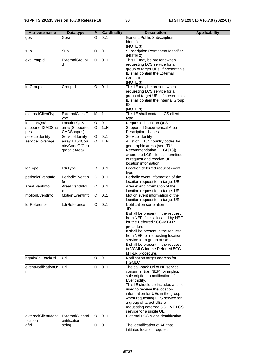| <b>Attribute name</b>  | Data type                     | P              | <b>Cardinality</b> | <b>Description</b>                                                       | <b>Applicability</b> |
|------------------------|-------------------------------|----------------|--------------------|--------------------------------------------------------------------------|----------------------|
| gpsi                   | Gpsi                          | $\Omega$       | 0.1                | <b>Generic Public Subscription</b><br>Identifier                         |                      |
|                        |                               |                |                    | (NOTE 3).                                                                |                      |
| supi                   | Supi                          | O              | 0.1                | <b>Subscription Permanent Identifier</b><br>(NOTE 3).                    |                      |
| extGroupId             | ExternalGroupl                | O              | 0.1                | This IE may be present when                                              |                      |
|                        | d                             |                |                    | requesting LCS service for a                                             |                      |
|                        |                               |                |                    | group of target UEs, if present this<br>IE shall contain the External    |                      |
|                        |                               |                |                    | Group ID                                                                 |                      |
|                        |                               |                |                    | (NOTE 3).                                                                |                      |
| intGroupId             | GroupId                       | O              | 0.1                | This IE may be present when                                              |                      |
|                        |                               |                |                    | requesting LCS service for a                                             |                      |
|                        |                               |                |                    | group of target UEs, if present this                                     |                      |
|                        |                               |                |                    | IE shall contain the Internal Group<br>ID                                |                      |
|                        |                               |                |                    | (NOTE 3).                                                                |                      |
| externalClientType     | ExternalClientT               | м              | $\overline{1}$     | This IE shall contain LCS client                                         |                      |
|                        | ype                           |                |                    | type                                                                     |                      |
| locationQoS            | LocationQoS                   | O              | 01                 | Requested location QoS                                                   |                      |
| supportedGADSha        | array(Supported               | $\Omega$       | 1.N                | Supported Geographical Area                                              |                      |
| pes<br>serviceIdentity | GADShapes)<br>ServiceIdentity | $\mathsf O$    | 0.1                | Description shapes<br>Service identity                                   |                      |
| serviceCoverage        | array(E164Cou                 | $\circ$        | 1.N                | A list of E.164 country codes for                                        |                      |
|                        | ntryCodeOfGeo                 |                |                    | geographic areas (see ITU                                                |                      |
|                        | graphicArea)                  |                |                    | Recommendation E.164 [13])                                               |                      |
|                        |                               |                |                    | where the LCS client is permitted                                        |                      |
|                        |                               |                |                    | to request and receive UE                                                |                      |
|                        | LdrType                       | C              | 0.1                | location information.                                                    |                      |
| <b>IdrType</b>         |                               |                |                    | Location deferred request event<br>type                                  |                      |
| periodicEventInfo      | PeriodicEventIn               | C              | 0.1                | Periodic event information of the                                        |                      |
|                        | fo                            |                |                    | location request for a target UE                                         |                      |
| areaEventInfo          | AreaEventInfoE<br>xt          | C              | 0.1                | Area event information of the<br>location request for a target UE        |                      |
| motionEventInfo        | MotionEventInfo               | $\overline{C}$ | 0.1                | Motion event information of the                                          |                      |
|                        |                               |                |                    | location request for a target UE                                         |                      |
| <b>IdrReference</b>    | LdrReference                  | $\overline{C}$ | 0.1                | Notification correlation                                                 |                      |
|                        |                               |                |                    | ID                                                                       |                      |
|                        |                               |                |                    | It shall be present in the request<br>from NEF if it is allocated by NEF |                      |
|                        |                               |                |                    | for the Deferred 5GC-MT-LR                                               |                      |
|                        |                               |                |                    | procedure.                                                               |                      |
|                        |                               |                |                    | It shall be present in the request                                       |                      |
|                        |                               |                |                    | from NEF for requesting location                                         |                      |
|                        |                               |                |                    | service for a group of UEs.<br>It shall be present in the request        |                      |
|                        |                               |                |                    | to VGMLC for the Deferred 5GC-                                           |                      |
|                        |                               |                |                    | MT-LR procedure.                                                         |                      |
| hgmlcCallBackUri       | Uri                           | O              | 0.1                | Notification target address for<br><b>HGMLC</b>                          |                      |
| eventNotificationUr    | Uri                           | O              | 0.1                | The call-back Uri of NF service                                          |                      |
|                        |                               |                |                    | consumer (i.e. NEF) for implicit                                         |                      |
|                        |                               |                |                    | subscription to notification of                                          |                      |
|                        |                               |                |                    | Eventnotify.<br>This IE should be included and is                        |                      |
|                        |                               |                |                    | used to receive the location                                             |                      |
|                        |                               |                |                    | information for UEs in the group                                         |                      |
|                        |                               |                |                    | when requesting LCS service for                                          |                      |
|                        |                               |                |                    | a group of target UEs or                                                 |                      |
|                        |                               |                |                    | requesting deferred 5GC MT LCS                                           |                      |
| externalClientIdenti   | ExternalClientId              | O              | 0.1                | service for a single UE.<br><b>External LCS client identification</b>    |                      |
| fication               | entification                  |                |                    |                                                                          |                      |
| afld                   | string                        | O              | 0.1                | The identification of AF that                                            |                      |
|                        |                               |                |                    | initiated location request                                               |                      |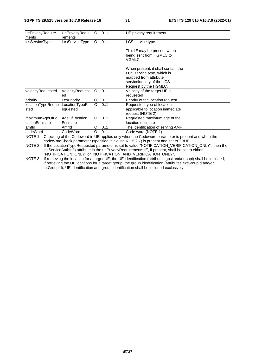| uePrivacyRequire                                                                                                                                                                                                                                                                                                  | <b>UePrivacyRequi</b>     | O        | 01  | UE privacy requirement                                                                                                                           |  |  |  |
|-------------------------------------------------------------------------------------------------------------------------------------------------------------------------------------------------------------------------------------------------------------------------------------------------------------------|---------------------------|----------|-----|--------------------------------------------------------------------------------------------------------------------------------------------------|--|--|--|
| ments                                                                                                                                                                                                                                                                                                             | rements                   |          |     |                                                                                                                                                  |  |  |  |
| IcsServiceType                                                                                                                                                                                                                                                                                                    | LcsServiceType            | O        | 0.1 | LCS service type                                                                                                                                 |  |  |  |
|                                                                                                                                                                                                                                                                                                                   |                           |          |     | This IE may be present when<br>being sent from HGMLC to<br>VGMLC.                                                                                |  |  |  |
|                                                                                                                                                                                                                                                                                                                   |                           |          |     | When present, it shall contain the<br>LCS service type, which is<br>mapped from attribute<br>serviceIdentity of the LCS<br>Request by the HGMLC. |  |  |  |
| velocityRequested                                                                                                                                                                                                                                                                                                 | VelocityRequest<br>ed     | $\circ$  | 0.1 | Velocity of the target UE is<br>requested                                                                                                        |  |  |  |
| priority                                                                                                                                                                                                                                                                                                          | LcsPriority               | O        | 0.1 | Priority of the location request                                                                                                                 |  |  |  |
| locationTypeReque<br>sted                                                                                                                                                                                                                                                                                         | LocationTypeR<br>equested | $\Omega$ | 0.1 | Requested type of location,<br>applicable to location immediate<br>request (NOTE 2)                                                              |  |  |  |
| maximumAgeOfLo<br>cationEstimate                                                                                                                                                                                                                                                                                  | AgeOfLocation<br>Estimate | O        | 0.1 | Requested maximum age of the<br>location estimate                                                                                                |  |  |  |
| amfld                                                                                                                                                                                                                                                                                                             | Amfld                     | O        | 0.1 | The identification of serving AMF                                                                                                                |  |  |  |
| lcodeWord                                                                                                                                                                                                                                                                                                         | CodeWord                  | $\Omega$ | 0.1 | Code word (NOTE 1)                                                                                                                               |  |  |  |
| Checking of the Codeword in UE applies only when the Codeword parameter is present and when the<br>NOTE 1:<br>codeWordCheck parameter (specified in clause 6.1.5.2.7) is present and set to TRUE.<br>If the LocationTypeRequested parameter is set to value "NOTIFICATION_VERIFICATION_ONLY", then the<br>NOTE 2: |                           |          |     |                                                                                                                                                  |  |  |  |
|                                                                                                                                                                                                                                                                                                                   |                           |          |     | IcsServiceAuthInfo attribute in the uePrivacyRequirements IE, if present, shall be set to either                                                 |  |  |  |

"NOTIFICATION\_ONLY" or "NOTIFICATION\_AND\_VERIFICATION\_ONLY". NOTE 3: If retrieving the location for a target UE, the UE identification (attributes gpsi and/or supi) shall be included, if retrieving the UE locations for a target group, the group identification (attributes extGroupId and/or

intGroupId), UE identification and group identification shall be included exclusively.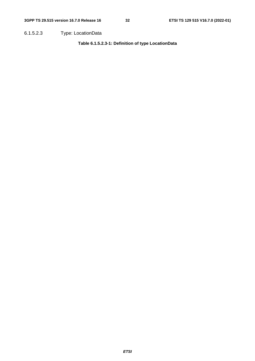6.1.5.2.3 Type: LocationData

**Table 6.1.5.2.3-1: Definition of type LocationData**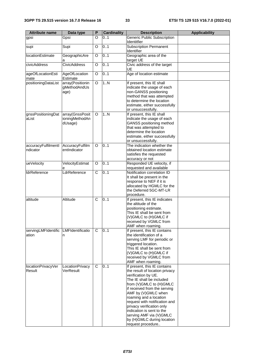| <b>Attribute name</b>           | Data type                                    | P | <b>Cardinality</b> | <b>Description</b>                                                                                                                                                                                                                                                                                                                                                                                     | <b>Applicability</b> |
|---------------------------------|----------------------------------------------|---|--------------------|--------------------------------------------------------------------------------------------------------------------------------------------------------------------------------------------------------------------------------------------------------------------------------------------------------------------------------------------------------------------------------------------------------|----------------------|
| gpsi                            | Gpsi                                         | O | 0.1                | <b>Generic Public Subscription</b>                                                                                                                                                                                                                                                                                                                                                                     |                      |
| supi                            | Supi                                         | O | 0.1                | Identitfier<br><b>Subscription Permanent</b>                                                                                                                                                                                                                                                                                                                                                           |                      |
| locationEstimate                | GeographicAre                                | O | 0.1                | Identifier<br>Geographic area of the                                                                                                                                                                                                                                                                                                                                                                   |                      |
|                                 | а                                            |   |                    | target UE                                                                                                                                                                                                                                                                                                                                                                                              |                      |
| civicAddress                    | <b>CivicAddress</b>                          | O | 0.1                | Civic address of the target<br>UE                                                                                                                                                                                                                                                                                                                                                                      |                      |
| ageOfLocationEsti<br>mate       | AgeOfLocation<br>Estimate                    | O | 0.1                | Age of location estimate                                                                                                                                                                                                                                                                                                                                                                               |                      |
| positioningDataList             | array(Positionin<br>gMethodAndUs<br>age)     | O | 1.N                | If present, this IE shall<br>indicate the usage of each<br>non-GANSS positioning<br>method that was attempted<br>to determine the location<br>estimate, either successfully<br>or unsuccessfully.                                                                                                                                                                                                      |                      |
| gnssPositioningDat<br>aList     | array(GnssPosit<br>ioningMethodAn<br>dUsage) | O | 1N                 | If present, this IE shall<br>indicate the usage of each<br>GANSS positioning method<br>that was attempted to<br>determine the location<br>estimate, either successfully<br>or unsuccessfully.                                                                                                                                                                                                          |                      |
| accuracyFulfilmentl<br>ndicator | AccuracyFulfilm<br>entIndicator              | O | 0.1                | The indication whether the<br>obtained location estimate<br>satisfies the requested<br>accuracy or not                                                                                                                                                                                                                                                                                                 |                      |
| ueVelocity                      | VelocityEstimat<br>е                         | O | 0.1                | Responded UE velocity, if<br>requested and available                                                                                                                                                                                                                                                                                                                                                   |                      |
| <b>IdrReference</b>             | LdrReference                                 | C | 0.1                | Notification correlation ID<br>It shall be present in the<br>response to NEF if it is<br>allocated by HGMLC for the<br>the Deferred 5GC-MT-LR<br>procedure.                                                                                                                                                                                                                                            |                      |
| altitude                        | Altitude                                     | C | 0.1                | If present, this IE indicates<br>the altitude of the<br>positioning estimate.<br>This IE shall be sent from<br>(V)GMLC to (H)GMLC if<br>received by VGMLC from<br>AMF when roaming.                                                                                                                                                                                                                    |                      |
| servingLMFIdentific<br>ation    | LMFIdentificatio<br>n                        | C | 0.1                | If present, this IE contains<br>the identification of a<br>serving LMF for periodic or<br>triggered location.<br>This IE shall be sent from<br>(V)GMLC to (H)GMLC if<br>received by VGMLC from<br>AMF when roaming.                                                                                                                                                                                    |                      |
| locationPrivacyVer<br>Result    | LocationPrivacy<br>VerResult                 | C | 0.1                | If present, this IE contains<br>the result of location privacy<br>verification by UE.<br>The IE shall be included<br>from (V)GMLC to (H)GMLC<br>if received from the serving<br>AMF by (V)GMLC when<br>roaming and a location<br>request with notification and<br>privacy verification only<br>indication is sent to the<br>serving AMF via (V)GMLC<br>by (H)GMLC during location<br>request procedure |                      |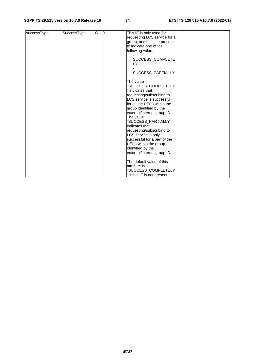#### **3GPP TS 29.515 version 16.7.0 Release 16 34 ETSI TS 129 515 V16.7.0 (2022-01)**

| successType | SuccessType | C | 0.1 | This IE is only used for     |  |
|-------------|-------------|---|-----|------------------------------|--|
|             |             |   |     | requesting LCS service for a |  |
|             |             |   |     | group, and shall be present  |  |
|             |             |   |     | to indicate one of the       |  |
|             |             |   |     |                              |  |
|             |             |   |     | following value.             |  |
|             |             |   |     |                              |  |
|             |             |   |     | SUCCESS_COMPLETE             |  |
|             |             |   |     | LY                           |  |
|             |             |   |     |                              |  |
|             |             |   |     | SUCCESS_PARTIALLY            |  |
|             |             |   |     |                              |  |
|             |             |   |     | The value                    |  |
|             |             |   |     | "SUCCESS_COMPLETELY          |  |
|             |             |   |     | " indicates that             |  |
|             |             |   |     |                              |  |
|             |             |   |     | requesting/subscribing to    |  |
|             |             |   |     | LCS service is successful    |  |
|             |             |   |     | for all the UE(s) within the |  |
|             |             |   |     | group identified by the      |  |
|             |             |   |     | external/internal group ID.  |  |
|             |             |   |     | The value                    |  |
|             |             |   |     | "SUCCESS_PARTIALLY"          |  |
|             |             |   |     |                              |  |
|             |             |   |     | indicates that               |  |
|             |             |   |     | requesting/subscribing to    |  |
|             |             |   |     | LCS service is only          |  |
|             |             |   |     | successful for a part of the |  |
|             |             |   |     | UE(s) within the group       |  |
|             |             |   |     | identified by the            |  |
|             |             |   |     | external/internal group ID.  |  |
|             |             |   |     |                              |  |
|             |             |   |     | The default value of this    |  |
|             |             |   |     | attribute is                 |  |
|             |             |   |     |                              |  |
|             |             |   |     | "SUCCESS_COMPLETELY          |  |
|             |             |   |     | " if this IE is not present. |  |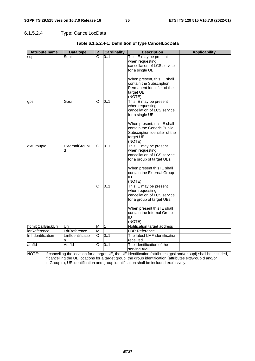# 6.1.5.2.4 Type: CancelLocData

| <b>Attribute name</b> | Data type        | P        | <b>Cardinality</b> | <b>Description</b>                                                                                                                | <b>Applicability</b> |
|-----------------------|------------------|----------|--------------------|-----------------------------------------------------------------------------------------------------------------------------------|----------------------|
| supi                  | Supi             | $\Omega$ | 0.1                | This IE may be present                                                                                                            |                      |
|                       |                  |          |                    | when requesting                                                                                                                   |                      |
|                       |                  |          |                    | cancellation of LCS service                                                                                                       |                      |
|                       |                  |          |                    | for a single UE.                                                                                                                  |                      |
|                       |                  |          |                    |                                                                                                                                   |                      |
|                       |                  |          |                    | When present, this IE shall<br>contain the Subscription                                                                           |                      |
|                       |                  |          |                    | Permanent Identifier of the                                                                                                       |                      |
|                       |                  |          |                    | target UE.                                                                                                                        |                      |
|                       |                  |          |                    | (NOTE).                                                                                                                           |                      |
| gpsi                  | Gpsi             | O        | 01                 | This IE may be present                                                                                                            |                      |
|                       |                  |          |                    | when requesting                                                                                                                   |                      |
|                       |                  |          |                    | cancellation of LCS service                                                                                                       |                      |
|                       |                  |          |                    | for a single UE.                                                                                                                  |                      |
|                       |                  |          |                    | When present, this IE shall                                                                                                       |                      |
|                       |                  |          |                    | contain the Generic Public                                                                                                        |                      |
|                       |                  |          |                    | Subscription identifier of the                                                                                                    |                      |
|                       |                  |          |                    | target UE.                                                                                                                        |                      |
|                       |                  |          |                    | (NOTE).                                                                                                                           |                      |
| extGroupId            | ExternalGroupl   | O        | 0.1                | This IE may be present                                                                                                            |                      |
|                       | d                |          |                    | when requesting                                                                                                                   |                      |
|                       |                  |          |                    | cancellation of LCS service                                                                                                       |                      |
|                       |                  |          |                    | for a group of target UEs.                                                                                                        |                      |
|                       |                  |          |                    | When present this IE shall                                                                                                        |                      |
|                       |                  |          |                    | contain the External Group                                                                                                        |                      |
|                       |                  |          |                    | ID                                                                                                                                |                      |
|                       |                  |          |                    | (NOTE).                                                                                                                           |                      |
|                       |                  | O        | 0.1                | This IE may be present                                                                                                            |                      |
|                       |                  |          |                    | when requesting                                                                                                                   |                      |
|                       |                  |          |                    | cancellation of LCS service                                                                                                       |                      |
|                       |                  |          |                    | for a group of target UEs.                                                                                                        |                      |
|                       |                  |          |                    | When present this IE shall                                                                                                        |                      |
|                       |                  |          |                    | contain the Internal Group                                                                                                        |                      |
|                       |                  |          |                    | ID                                                                                                                                |                      |
|                       |                  |          |                    | (NOTE).                                                                                                                           |                      |
| hgmlcCallBackUri      | Uri              | М        | $\mathbf{1}$       | Notification target address                                                                                                       |                      |
| <b>IdrReference</b>   | LdrReference     | M        | 1                  | LDR Reference                                                                                                                     |                      |
| Imfldentification     | Lmfldentificatio | O        | 0.1                | The latest LMF identification                                                                                                     |                      |
|                       | n                |          |                    | received                                                                                                                          |                      |
| amfld                 | Amfld            | O        | 0.1                | The identification of the                                                                                                         |                      |
| NOTE:                 |                  |          |                    | serving AMF<br>If cancelling the location for a target UE, the UE identification (attributes gpsi and/or supi) shall be included, |                      |
|                       |                  |          |                    | if cancelling the UE locations for a target group, the group identification (attributes extGroupId and/or                         |                      |
|                       |                  |          |                    | intGroupId), UE identification and group identification shall be included exclusively.                                            |                      |

### **Table 6.1.5.2.4-1: Definition of type CancelLocData**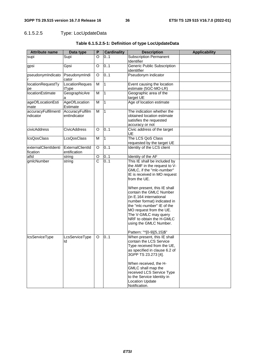# 6.1.5.2.5 Type: LocUpdateData

| <b>Attribute name</b>            | Data type                        | P                     | <b>Cardinality</b> | <b>Description</b>                                                                                                                                                                                                                                                                                                                                                                                                                | <b>Applicability</b> |
|----------------------------------|----------------------------------|-----------------------|--------------------|-----------------------------------------------------------------------------------------------------------------------------------------------------------------------------------------------------------------------------------------------------------------------------------------------------------------------------------------------------------------------------------------------------------------------------------|----------------------|
| supi                             | Supi                             | O                     | 0.1                | <b>Subscription Permanent</b><br>Identifier                                                                                                                                                                                                                                                                                                                                                                                       |                      |
| gpsi                             | Gpsi                             | O                     | 0.1                | <b>Generic Public Subscription</b><br>identitfier                                                                                                                                                                                                                                                                                                                                                                                 |                      |
| pseudonymIndicato                | PseudonymIndi<br>cator           | O                     | 0.1                | Pseudonym indicator                                                                                                                                                                                                                                                                                                                                                                                                               |                      |
| locationRequestTy<br>pe          | LocationReques<br>tType          | M                     | $\overline{1}$     | Event causing the location<br>estimate (5GC-MO-LR)                                                                                                                                                                                                                                                                                                                                                                                |                      |
| <b>locationEstimate</b>          | GeographicAre                    | M                     | $\overline{1}$     | Geographic area of the<br>target UE                                                                                                                                                                                                                                                                                                                                                                                               |                      |
| ageOfLocationEsti<br>mate        | AgeOfLocation<br>Estimate        | M                     | 1                  | Age of location estimate                                                                                                                                                                                                                                                                                                                                                                                                          |                      |
| accuracyFulfilmentl<br>ndicator  | AccuracyFulfilm<br>entIndicator  | M                     | 11                 | The indication whether the<br>obtained location estimate<br>satisfies the requested<br>accuracy or not                                                                                                                                                                                                                                                                                                                            |                      |
| civicAddress                     | <b>CivicAddress</b>              | O                     | 0.1                | Civic address of the target<br>UE                                                                                                                                                                                                                                                                                                                                                                                                 |                      |
| <b>IcsQosClass</b>               | <b>LcsQosClass</b>               | M                     | $\overline{1}$     | The LCS QoS Class<br>requested by the target UE                                                                                                                                                                                                                                                                                                                                                                                   |                      |
| externalClientIdenti<br>fication | ExternalClientId<br>entification | O                     | 0.1                | Identity of the LCS client                                                                                                                                                                                                                                                                                                                                                                                                        |                      |
| afld                             | string                           | O                     | 01                 | Identity of the AF                                                                                                                                                                                                                                                                                                                                                                                                                |                      |
| gmlcNumber                       | string                           | $\overline{\text{c}}$ | 0.1                | This IE shall be included by<br>the AMF in the request to V-<br>GMLC, if the "mlc-number"<br>IE is received in MO request<br>from the UE.<br>When present, this IE shall<br>contain the GMLC Number<br>(in E.164 international<br>number format) indicated in<br>the "mlc-number" IE of the<br>MO request from the UE.<br>The V-GMLC may query<br>NRF to obtain the H-GMLC<br>using the GMLC Number.<br>Pattern: "^[0-9]{5,15}\$" |                      |
| <b>IcsServiceType</b>            | LcsServiceType<br>Ιa             | O                     | 0.1                | When present, this IE shall<br>contain the LCS Service<br>Type received from the UE,<br>as specified in clause 6.2 of<br>3GPP TS 23.273 [4].<br>When received, the H-<br>GMLC shall map the<br>received LCS Service Type<br>to the Service Identity in<br><b>Location Update</b><br>Notification.                                                                                                                                 |                      |

### **Table 6.1.5.2.5-1: Definition of type LocUpdateData**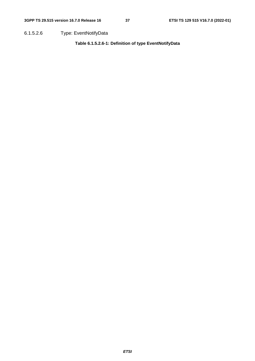6.1.5.2.6 Type: EventNotifyData

**Table 6.1.5.2.6-1: Definition of type EventNotifyData**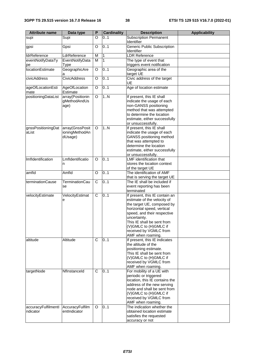| <b>Attribute name</b>           | Data type                                    | P | <b>Cardinality</b> | <b>Description</b>                                                                                                                                                                                                                                                             | <b>Applicability</b> |
|---------------------------------|----------------------------------------------|---|--------------------|--------------------------------------------------------------------------------------------------------------------------------------------------------------------------------------------------------------------------------------------------------------------------------|----------------------|
| supi                            | Supi                                         | O | 0.1                | <b>Subscription Permanent</b><br>Identifier                                                                                                                                                                                                                                    |                      |
| gpsi                            | Gpsi                                         | O | 0.1                | Generic Public Subscription<br>Identifier                                                                                                                                                                                                                                      |                      |
| <b>IdrReference</b>             | LdrReference                                 | M | 1                  | <b>LDR</b> Reference                                                                                                                                                                                                                                                           |                      |
| eventNotifyDataTy<br>рe         | EventNotifyData<br>Type                      | м | $\mathbf{1}$       | The type of event that<br>triggers event notification                                                                                                                                                                                                                          |                      |
| <b>locationEstimate</b>         | GeographicAre                                | O | 0.1                | Geographic area of the<br>target UE                                                                                                                                                                                                                                            |                      |
| civicAddress                    | <b>CivicAddress</b>                          | O | 0.1                | Civic address of the target<br>UE                                                                                                                                                                                                                                              |                      |
| ageOfLocationEsti<br>mate       | AgeOfLocation<br>Estimate                    | O | 0.1                | Age of location estimate                                                                                                                                                                                                                                                       |                      |
| positioningDataList             | array(Positionin<br>gMethodAndUs<br>age)     | O | 1N                 | If present, this IE shall<br>indicate the usage of each<br>non-GANSS positioning<br>method that was attempted<br>to determine the location<br>estimate, either successfully<br>or unsuccessfully.                                                                              |                      |
| gnssPositioningDat<br>aList     | array(GnssPosit<br>ioningMethodAn<br>dUsage) | O | 1N                 | If present, this IE shall<br>indicate the usage of each<br>GANSS positioning method<br>that was attempted to<br>determine the location<br>estimate, either successfully<br>or unsuccessfully.                                                                                  |                      |
| Imfldentification               | Lmfldentificatio<br>n                        | O | 0.1                | <b>LMF</b> identification that<br>stores the location context<br>of the target UE                                                                                                                                                                                              |                      |
| amfld                           | Amfld                                        | O | 0.1                | The identification of AMF<br>that is serving the target UE                                                                                                                                                                                                                     |                      |
| terminationCause                | TerminationCau<br>se                         | C | 0.1                | The IE shall be included if<br>event reporting has been<br>terminated                                                                                                                                                                                                          |                      |
| velocityEstimate                | VelocityEstimat<br>е                         | C | 0.1                | If present, this IE contain an<br>estimate of the velocity of<br>the target UE, composed by<br>horizontal speed, vertical<br>speed, and their respective<br>uncertainty.<br>This IE shall be sent from<br>(V)GMLC to (H)GMLC if<br>received by VGMLC from<br>AMF when roaming. |                      |
| altitude                        | Altitude                                     | C | 0.1                | If present, this IE indicates<br>the altitude of the<br>positioning estimate.<br>This IE shall be sent from<br>(V)GMLC to (H)GMLC if<br>received by VGMLC from<br>AMF when roaming.                                                                                            |                      |
| targetNode                      | Nflnstanceld                                 | C | 0.1                | For mobility of a UE with<br>periodic or triggered<br>location, this IE contains the<br>address of the new serving<br>node and shall be sent from<br>(V)GMLC to (H)GMLC if<br>received by VGMLC from<br>AMF when roaming.                                                      |                      |
| accuracyFulfilmentl<br>ndicator | AccuracyFulfilm<br>entIndicator              | O | 0.1                | The indication whether the<br>obtained location estimate<br>satisfies the requested<br>accuracy or not                                                                                                                                                                         |                      |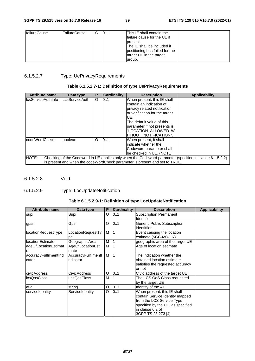| <b>failureCause</b> | lFailureCause | C | 101 | This IE shall contain the<br>Ifailure cause for the UE if<br>Ipresent.<br>The IE shall be included if<br>positioning has failed for the<br>target UE in the target |  |
|---------------------|---------------|---|-----|--------------------------------------------------------------------------------------------------------------------------------------------------------------------|--|
|                     |               |   |     | group.                                                                                                                                                             |  |

### 6.1.5.2.7 Type: UePrivacyRequirements

### **Table 6.1.5.2.7-1: Definition of type UePrivacyRequirements**

| <b>Attribute name</b>     | Data type      | Р | <b>Cardinality</b> | <b>Description</b>                                                                                                                                                                                                                                    | <b>Applicability</b> |
|---------------------------|----------------|---|--------------------|-------------------------------------------------------------------------------------------------------------------------------------------------------------------------------------------------------------------------------------------------------|----------------------|
| <b>IcsServiceAuthInfo</b> | LcsServiceAuth | O | 0.1                | When present, this IE shall<br>contain an indication of<br>privacy related notification<br>or verification for the target<br>IUE.<br>The default value of this<br>parameter if not presents is<br>"LOCATION_ALLOWED_W<br><b>ITHOUT NOTIFICATION".</b> |                      |
| lcodeWordCheck            | boolean        | O | 10.1               | When present, it shall<br>lindicate whether the<br>Codeword parameter shall<br>be checked in UE. (NOTE)                                                                                                                                               |                      |
| NOTE:                     |                |   |                    | Checking of the Codeword in UE applies only when the Codeword parameter (specified in clause 6.1.5.2.2)<br>is present and when the codeWordCheck parameter is present and set to TRUE.                                                                |                      |

6.1.5.2.8 Void

### 6.1.5.2.9 Type: LocUpdateNotification

#### **Table 6.1.5.2.9-1: Definition of type LocUpdateNotification**

| <b>Attribute name</b>           | Data type                       | P | <b>Cardinality</b> | <b>Description</b>                                                                                                                                                          | <b>Applicability</b> |
|---------------------------------|---------------------------------|---|--------------------|-----------------------------------------------------------------------------------------------------------------------------------------------------------------------------|----------------------|
| supi                            | Supi                            | O | 0.1                | <b>Subscription Permanent</b><br><b>Identifier</b>                                                                                                                          |                      |
| gpsi                            | Gpsi                            | O | 0.1                | Generic Public Subscription<br>identitfier                                                                                                                                  |                      |
| locationRequestType             | LocationRequestTy<br>pe         | M |                    | Event causing the location<br>estimate (5GC-MO-LR)                                                                                                                          |                      |
| llocationEstimate               | GeographicArea                  | M |                    | geographic area of the target UE                                                                                                                                            |                      |
| ageOfLocationEstimat<br>e       | AgeOfLocationEsti<br>mate       | M |                    | Age of location estimate                                                                                                                                                    |                      |
| accuracyFulfilmentIndi<br>cator | AccuracyFulfilmentl<br>ndicator | M |                    | The indication whether the<br>obtained location estimate<br>satisfies the requested accuracy<br>or not                                                                      |                      |
| civicAddress                    | <b>CivicAddress</b>             | O | 0.1                | Civic address of the target UE                                                                                                                                              |                      |
| <b>IcsQosClass</b>              | LcsQosClass                     | M |                    | The LCS QoS Class requested<br>by the target UE                                                                                                                             |                      |
| lafId                           | string                          | O | 01                 | Identity of the AF                                                                                                                                                          |                      |
| serviceIdentity                 | ServiceIdentity                 | O | 01                 | When present, this IE shall<br>contain Service Identity mapped<br>from the LCS Service Type<br>specified by the UE, as specified<br>in clause 6.2 of<br>3GPP TS 23.273 [4]. |                      |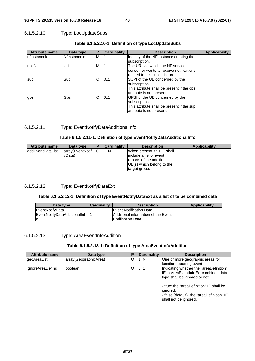#### 6.1.5.2.10 Type: LocUpdateSubs

| <b>Attribute name</b> | Data type    | Р | <b>Cardinality</b> | <b>Description</b>                                                                                                           | <b>Applicability</b> |
|-----------------------|--------------|---|--------------------|------------------------------------------------------------------------------------------------------------------------------|----------------------|
| InflnstanceId         | Nflnstanceld | М |                    | Identity of the NF Instance creating the<br>subscription.                                                                    |                      |
| notifUri              | Uri          | М |                    | The URI via which the NF service<br>consumer wants to receive notifications<br>related to this subscription.                 |                      |
| supi                  | Supi         | С | 101                | SUPI of the UE concerned by the<br>subscription.<br>This attribute shall be present if the gpsi<br>attribute is not present. |                      |
| gpsi                  | Gpsi         | С | 01                 | GPSI of the UE concerned by the<br>subscription.<br>This attribute shall be present if the supi<br>attribute is not present. |                      |

#### **Table 6.1.5.2.10-1: Definition of type LocUpdateSubs**

#### 6.1.5.2.11 Type: EventNotifyDataAdditionalInfo

#### **Table 6.1.5.2.11-1: Definition of type EventNotifyDataAdditionalInfo**

| <b>Attribute name</b> | Data type        | Р | <b>Cardinality</b> | <b>Description</b>                                    | Applicability |
|-----------------------|------------------|---|--------------------|-------------------------------------------------------|---------------|
| laddEventDataList     | array(EventNotif |   | 1N                 | When present, this IE shall                           |               |
|                       | vData)           |   |                    | linclude a list of event<br>reports of the additional |               |
|                       |                  |   |                    | UE(s) which belong to the                             |               |
|                       |                  |   |                    | target group.                                         |               |

#### 6.1.5.2.12 Type: EventNotifyDataExt

#### **Table 6.1.5.2.12-1: Definition of type EventNotifyDataExt as a list of to be combined data**

| Data type                    | <b>Cardinality</b> | <b>Description</b>                                              | Applicability |
|------------------------------|--------------------|-----------------------------------------------------------------|---------------|
| IEventNotifvData             |                    | <b>IEvent Notification Data</b>                                 |               |
| EventNotifyDataAdditionalInf |                    | Additional information of the Event<br><b>Notification Data</b> |               |

#### 6.1.5.2.13 Type: AreaEventInfoAddition

#### **Table 6.1.5.2.13-1: Definition of type AreaEventInfoAddition**

| <b>Attribute name</b> | Data type             | Р        | <b>Cardinality</b> | <b>Description</b>                                                                                                                                                                                                                               |
|-----------------------|-----------------------|----------|--------------------|--------------------------------------------------------------------------------------------------------------------------------------------------------------------------------------------------------------------------------------------------|
| geoAreaList           | array(GeographicArea) | $\circ$  | 1N                 | One or more geographic areas for<br>location reporting event                                                                                                                                                                                     |
| lignoreAreaDefInd     | boolean               | $\Omega$ | 101                | Indicating whether the "areaDefinition"<br>IIE in AreaEventInfoExt combined data<br>type shall be ignored or not:<br>- true: the "areaDefinition" IE shall be<br>ignored.<br>- false (default)" the "areaDefinition" IE<br>shall not be ignored. |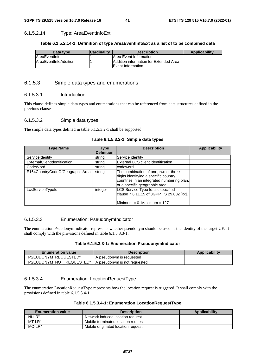#### 6.1.5.2.14 Type: AreaEventInfoExt

#### **Table 6.1.5.2.14-1: Definition of type AreaEventInfoExt as a list of to be combined data**

| Data type                     | <b>Cardinality</b> | <b>Description</b>                                                         | Applicability |
|-------------------------------|--------------------|----------------------------------------------------------------------------|---------------|
| AreaEventInfo                 |                    | Area Event Information                                                     |               |
| <b>IAreaEventInfoAddition</b> |                    | <b>Addition information for Extended Area</b><br><b>IEvent Information</b> |               |

#### 6.1.5.3 Simple data types and enumerations

#### 6.1.5.3.1 Introduction

This clause defines simple data types and enumerations that can be referenced from data structures defined in the previous clauses.

#### 6.1.5.3.2 Simple data types

The simple data types defined in table 6.1.5.3.2-1 shall be supported.

| Table 6.1.5.3.2-1: Simple data types |  |
|--------------------------------------|--|
|--------------------------------------|--|

| <b>Type Name</b>                | Type<br><b>Definition</b> | <b>Description</b>                                                                                                                                            | <b>Applicability</b> |
|---------------------------------|---------------------------|---------------------------------------------------------------------------------------------------------------------------------------------------------------|----------------------|
| ServiceIdentity                 | string                    | Service identity                                                                                                                                              |                      |
| ExternalClientIdentification    | string                    | <b>External LCS client identification</b>                                                                                                                     |                      |
| CodeWord                        | string                    | <b>codeword</b>                                                                                                                                               |                      |
| E164CountryCodeOfGeographicArea | string                    | The combination of one, two or three<br>digits identifying a specific country,<br>countries in an integrated numbering plan,<br>or a specific geographic area |                      |
| LcsServiceTypeId                | integer                   | LCS Service Type Id, as specified<br>clause 7.6.11.15 of 3GPP TS 29.002 [xx].<br>Minimum = $0.$ Maximum = 127                                                 |                      |

#### 6.1.5.3.3 Enumeration: PseudonymIndicator

The enumeration PseudonymIndicator represents whether pseudonym should be used as the identity of the target UE. It shall comply with the provisions defined in table 6.1.5.3.3-1.

#### **Table 6.1.5.3.3-1: Enumeration PseudonymIndicator**

| <b>Enumeration value</b>  | <b>Description</b>           | <b>Applicability</b> |
|---------------------------|------------------------------|----------------------|
| "PSEUDONYM REQUESTED"     | A pseudonym is requested     |                      |
| "PSEUDONYM NOT REQUESTED" | A pseudonym is not requested |                      |

#### 6.1.5.3.4 Enumeration: LocationRequestType

The enumeration LocationRequestType represents how the location request is triggered. It shall comply with the provisions defined in table 6.1.5.3.4-1.

#### **Table 6.1.5.3.4-1: Enumeration LocationRequestType**

| <b>Enumeration value</b> | <b>Description</b>                 | <b>Applicability</b> |
|--------------------------|------------------------------------|----------------------|
| "NI-LR"                  | Network induced location request   |                      |
| "MT-LR"                  | Mobile terminated location request |                      |
| "MO-LR"                  | Mobile originated location request |                      |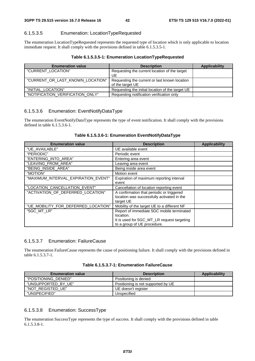#### 6.1.5.3.5 Enumeration: LocationTypeRequested

The enumeration LocationTypeRequested represents the requested type of location which is only applicable to location immediate request. It shall comply with the provisions defined in table 6.1.5.3.5-1.

#### **Table 6.1.5.3.5-1: Enumeration LocationTypeRequested**

| <b>Enumeration value</b>         | <b>Description</b>                               | Applicability |
|----------------------------------|--------------------------------------------------|---------------|
| "CURRENT_LOCATION"               | Requesting the current location of the target    |               |
|                                  | UE                                               |               |
| "CURRENT OR LAST KNOWN LOCATION" | Requesting the current or last known location    |               |
|                                  | of the target UE                                 |               |
| "INITIAL LOCATION"               | Requesting the initial location of the target UE |               |
| "NOTIFICATION_VERIFICATION_ONLY" | Requesting notification verification only        |               |

#### 6.1.5.3.6 Enumeration: EventNotifyDataType

The enumeration EventNotifyDataType represents the type of event notification. It shall comply with the provisions defined in table 6.1.5.3.6-1.

| <b>Enumeration value</b>            | <b>Description</b>                                                                                                                  | <b>Applicability</b> |
|-------------------------------------|-------------------------------------------------------------------------------------------------------------------------------------|----------------------|
| "UE AVAILABLE"                      | UE available event                                                                                                                  |                      |
| "PERIODIC"                          | Periodic event                                                                                                                      |                      |
| "ENTERING_INTO_AREA"                | Entering area event                                                                                                                 |                      |
| "LEAVING_FROM_AREA"                 | Leaving area event                                                                                                                  |                      |
| "BEING_INSIDE_AREA"                 | Being inside area event                                                                                                             |                      |
| "MOTION"                            | Motion event                                                                                                                        |                      |
| "MAXIMUM_INTERVAL_EXPIRATION_EVENT" | Expiration of maximum reporting interval<br>event                                                                                   |                      |
| "LOCATION_CANCELLATION_EVENT"       | Cancellation of location reporting event                                                                                            |                      |
| "ACTIVATION_OF_DEFERRED_LOCATION"   | A confirmation that periodic or triggered<br>location was successfully activated in the<br>target UE                                |                      |
| "UE_MOBILITY_FOR_DEFERRED_LOCATION" | Mobility of the target UE to a different NF                                                                                         |                      |
| "5GC_MT_LR"                         | Report of immediate 5GC mobile terminated<br>location.<br>It is used for 5GC_MT_LR request targeting<br>to a group of UE procedure. |                      |

#### 6.1.5.3.7 Enumeration: FailureCause

The enumeration FailureCause represents the cause of positioning failure. It shall comply with the provisions defined in table 6.1.5.3.7-1.

|--|--|--|--|--|--|

| <b>Enumeration value</b> | <b>Description</b>                 | Applicability |
|--------------------------|------------------------------------|---------------|
| "POSITIONING DENIED"     | Positioning is denied              |               |
| "UNSUPPORTED_BY_UE"      | Positioning is not supported by UE |               |
| "NOT REGISTED UE"        | UE doesn't register                |               |
| "UNSPECIFIED"            | Unspecified                        |               |

#### 6.1.5.3.8 Enumeration: SuccessType

The enumeration SuccessType represents the type of success. It shall comply with the provisions defined in table 6.1.5.3.8-1.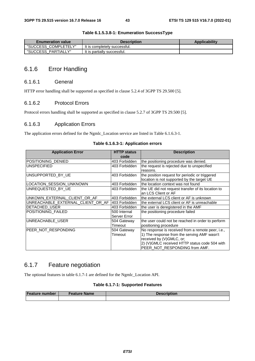| <b>Enumeration value</b> | <b>Description</b>           | <b>Applicability</b> |
|--------------------------|------------------------------|----------------------|
| "SUCCESS COMPLETELY"     | It is completely successful. |                      |
| "SUCCESS PARTIALLY"      | It is partially successful.  |                      |

#### **Table 6.1.5.3.8-1: Enumeration SuccessType**

# 6.1.6 Error Handling

#### 6.1.6.1 General

HTTP error handling shall be supported as specified in clause 5.2.4 of 3GPP TS 29.500 [5].

#### 6.1.6.2 Protocol Errors

Protocol errors handling shall be supported as specified in clause 5.2.7 of 3GPP TS 29.500 [5].

#### 6.1.6.3 Application Errors

The application errors defined for the Ngmlc\_Location service are listed in Table 6.1.6.3-1.

#### **Table 6.1.6.3-1: Application errors**

| <b>Application Error</b>          | <b>HTTP status</b> | <b>Description</b>                                 |
|-----------------------------------|--------------------|----------------------------------------------------|
|                                   | code               |                                                    |
| POSITIONING_DENIED                | 403 Forbidden      | the positioning procedure was denied.              |
| <b>UNSPECIFIED</b>                | 403 Forbidden      | the request is rejected due to unspecified         |
|                                   |                    | reasons.                                           |
| UNSUPPORTED BY UE                 | 403 Forbidden      | the position request for periodic or triggered     |
|                                   |                    | location is not supported by the target UE         |
| LOCATION SESSION UNKNOWN          | 403 Forbidden      | lthe location context was not found                |
| UNREQUESTED BY UE                 | 403 Forbidden      | the UE did not request transfer of its location to |
|                                   |                    | an LCS Client or AF                                |
| UNKOWN_EXTERNAL_CLIENT_OR_AF      | 403 Forbidden      | lthe external LCS client or AF is unknown          |
| UNREACHABLE_EXTERNAL_CLIENT_OR_AF | 403 Forbidden      | the external LCS client or AF is unreachable       |
| DETACHED_USER                     | 403 Forbidden      | the user is deregistered in the AMF                |
| POSITIONING_FAILED                | 500 Internal       | the positioning procedure failed                   |
|                                   | Server Error       |                                                    |
| UNREACHABLE USER                  | 504 Gateway        | the user could not be reached in order to perform  |
|                                   | Timeout            | positioning procedure                              |
| PEER NOT RESPONDING               | 504 Gateway        | No response is received from a remote peer, i.e.,  |
|                                   | Timeout            | 1) The response from the serving AMF wasn't        |
|                                   |                    | received by (V)GMLC, or;                           |
|                                   |                    | 2) (V)GMLC received HTTP status code 504 with      |
|                                   |                    | PEER_NOT_RESPONDING from AMF.                      |

# 6.1.7 Feature negotiation

The optional features in table 6.1.7-1 are defined for the Ngmlc\_Location API.

#### **Table 6.1.7-1: Supported Features**

| <b>Feature number</b> | <b>Feature Name</b> | <b>Description</b> |
|-----------------------|---------------------|--------------------|
|                       |                     |                    |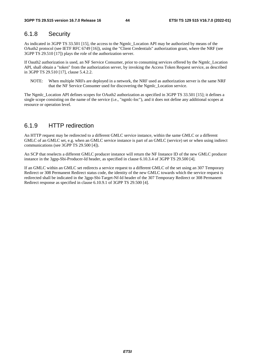# 6.1.8 Security

As indicated in 3GPP TS 33.501 [15], the access to the Ngmlc\_Location API may be authorized by means of the OAuth2 protocol (see IETF RFC 6749 [16]), using the "Client Credentials" authorization grant, where the NRF (see 3GPP TS 29.510 [17]) plays the role of the authorization server.

If Oauth2 authorization is used, an NF Service Consumer, prior to consuming services offered by the Ngmlc\_Location API, shall obtain a "token" from the authorization server, by invoking the Access Token Request service, as described in 3GPP TS 29.510 [17], clause 5.4.2.2.

NOTE: When multiple NRFs are deployed in a network, the NRF used as authorization server is the same NRF that the NF Service Consumer used for discovering the Ngmlc\_Location service.

The Ngmlc\_Location API defines scopes for OAuth2 authorization as specified in 3GPP TS 33.501 [15]; it defines a single scope consisting on the name of the service (i.e., "ngmlc-loc"), and it does not define any additional scopes at resource or operation level.

# 6.1.9 HTTP redirection

An HTTP request may be redirected to a different GMLC service instance, within the same GMLC or a different GMLC of an GMLC set, e.g. when an GMLC service instance is part of an GMLC (service) set or when using indirect communications (see 3GPP TS 29.500 [4]).

An SCP that reselects a different GMLC producer instance will return the NF Instance ID of the new GMLC producer instance in the 3gpp-Sbi-Producer-Id header, as specified in clause 6.10.3.4 of 3GPP TS 29.500 [4].

If an GMLC within an GMLC set redirects a service request to a different GMLC of the set using an 307 Temporary Redirect or 308 Permanent Redirect status code, the identity of the new GMLC towards which the service request is redirected shall be indicated in the 3gpp-Sbi-Target-Nf-Id header of the 307 Temporary Redirect or 308 Permanent Redirect response as specified in clause 6.10.9.1 of 3GPP TS 29.500 [4].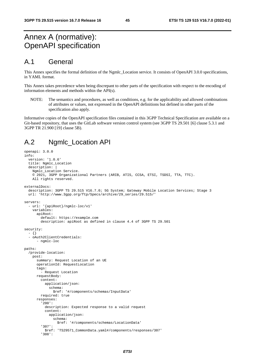# Annex A (normative): OpenAPI specification

# A.1 General

This Annex specifies the formal definition of the Ngmlc\_Location service. It consists of OpenAPI 3.0.0 specifications, in YAML format.

This Annex takes precedence when being discrepant to other parts of the specification with respect to the encoding of information elements and methods within the API(s).

NOTE: The semantics and procedures, as well as conditions, e.g. for the applicability and allowed combinations of attributes or values, not expressed in the OpenAPI definitions but defined in other parts of the specification also apply.

Informative copies of the OpenAPI specification files contained in this 3GPP Technical Specification are available on a Git-based repository, that uses the GitLab software version control system (see 3GPP TS 29.501 [6] clause 5.3.1 and 3GPP TR 21.900 [19] clause 5B).

# A.2 Ngmlc\_Location API

```
openapi: 3.0.0 
info: 
   version: '1.0.6' 
   title: Ngmlc_Location 
   description: | 
     Ngmlc_Location Service. 
     © 2021, 3GPP Organizational Partners (ARIB, ATIS, CCSA, ETSI, TSDSI, TTA, TTC). 
     All rights reserved. 
externalDocs: 
   description: 3GPP TS 29.515 V16.7.0; 5G System; Gateway Mobile Location Services; Stage 3 
   url: 'http://www.3gpp.org/ftp/Specs/archive/29_series/29.515/' 
servers: 
   - url: '{apiRoot}/ngmlc-loc/v1' 
     variables: 
       apiRoot: 
         default: https://example.com 
         description: apiRoot as defined in clause 4.4 of 3GPP TS 29.501 
security: 
   - {} 
   - oAuth2ClientCredentials: 
      - ngmlc-loc
paths: 
   /provide-location: 
     post: 
       summary: Request Location of an UE 
       operationId: RequestLocation 
       tags: 
          - Request Location 
       requestBody: 
         content: 
           application/json: 
              schema: 
                $ref: '#/components/schemas/InputData' 
         required: true 
       responses: 
          '200': 
           description: Expected response to a valid request 
            content: 
              application/json: 
                schema: 
                  $ref: '#/components/schemas/LocationData' 
          '307': 
            $ref: 'TS29571_CommonData.yaml#/components/responses/307' 
          '308':
```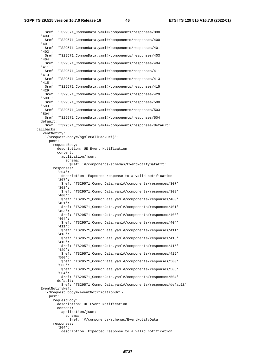**3GPP TS 29.515 version 16.7.0 Release 16 46 ETSI TS 129 515 V16.7.0 (2022-01)**

 \$ref: 'TS29571\_CommonData.yaml#/components/responses/308' '400': \$ref: 'TS29571\_CommonData.yaml#/components/responses/400' '401': \$ref: 'TS29571\_CommonData.yaml#/components/responses/401' '403': \$ref: 'TS29571\_CommonData.yaml#/components/responses/403' '404': \$ref: 'TS29571\_CommonData.yaml#/components/responses/404' '411': \$ref: 'TS29571\_CommonData.yaml#/components/responses/411' '413': \$ref: 'TS29571\_CommonData.yaml#/components/responses/413' '415': \$ref: 'TS29571\_CommonData.yaml#/components/responses/415' '429': \$ref: 'TS29571\_CommonData.yaml#/components/responses/429' '500': \$ref: 'TS29571\_CommonData.yaml#/components/responses/500' '503': \$ref: 'TS29571\_CommonData.yaml#/components/responses/503' '504': \$ref: 'TS29571\_CommonData.yaml#/components/responses/504' default: \$ref: 'TS29571\_CommonData.yaml#/components/responses/default' callbacks: EventNotify: '{\$request.body#/hgmlcCallBackUri}': post: requestBody: description: UE Event Notification content: application/json: schema: \$ref: '#/components/schemas/EventNotifyDataExt' responses: '204': description: Expected response to a valid notification '307': \$ref: 'TS29571\_CommonData.yaml#/components/responses/307' '308': \$ref: 'TS29571\_CommonData.yaml#/components/responses/308' '400': \$ref: 'TS29571\_CommonData.yaml#/components/responses/400' '401': \$ref: 'TS29571\_CommonData.yaml#/components/responses/401' '403': \$ref: 'TS29571\_CommonData.yaml#/components/responses/403' '404': \$ref: 'TS29571\_CommonData.yaml#/components/responses/404' '411': \$ref: 'TS29571\_CommonData.yaml#/components/responses/411' '413': \$ref: 'TS29571\_CommonData.yaml#/components/responses/413' '415': \$ref: 'TS29571\_CommonData.yaml#/components/responses/415' '429': \$ref: 'TS29571\_CommonData.yaml#/components/responses/429' '500': \$ref: 'TS29571\_CommonData.yaml#/components/responses/500' '503': \$ref: 'TS29571\_CommonData.yaml#/components/responses/503' '504': \$ref: 'TS29571\_CommonData.yaml#/components/responses/504' default: \$ref: 'TS29571\_CommonData.yaml#/components/responses/default' EventNotifyNef: '{\$request.body#/eventNotificationUri}': post: requestBody: description: UE Event Notification content: application/json: schema: \$ref: '#/components/schemas/EventNotifyData' responses: '204': description: Expected response to a valid notification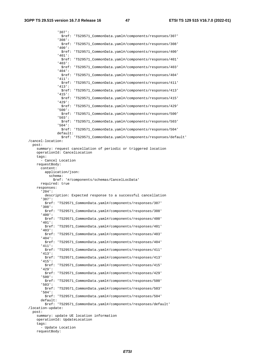'307': \$ref: 'TS29571\_CommonData.yaml#/components/responses/307' '308': \$ref: 'TS29571\_CommonData.yaml#/components/responses/308' '400': \$ref: 'TS29571\_CommonData.yaml#/components/responses/400' '401': \$ref: 'TS29571\_CommonData.yaml#/components/responses/401' '403': \$ref: 'TS29571\_CommonData.yaml#/components/responses/403' '404': \$ref: 'TS29571\_CommonData.yaml#/components/responses/404' '411': \$ref: 'TS29571\_CommonData.yaml#/components/responses/411' '413': \$ref: 'TS29571\_CommonData.yaml#/components/responses/413' '415': \$ref: 'TS29571\_CommonData.yaml#/components/responses/415' '429': \$ref: 'TS29571\_CommonData.yaml#/components/responses/429' '500': \$ref: 'TS29571\_CommonData.yaml#/components/responses/500' '503': \$ref: 'TS29571\_CommonData.yaml#/components/responses/503' '504': \$ref: 'TS29571\_CommonData.yaml#/components/responses/504' default: \$ref: 'TS29571\_CommonData.yaml#/components/responses/default' /cancel-location: post: summary: request cancellation of periodic or triggered location operationId: CancelLocation tags: - Cancel Location requestBody: content: application/json: schema: \$ref: '#/components/schemas/CancelLocData' required: true responses: '204': description: Expected response to a successful cancellation '307': \$ref: 'TS29571\_CommonData.yaml#/components/responses/307' '308': \$ref: 'TS29571\_CommonData.yaml#/components/responses/308' '400': \$ref: 'TS29571\_CommonData.yaml#/components/responses/400' '401': \$ref: 'TS29571\_CommonData.yaml#/components/responses/401' '403': \$ref: 'TS29571\_CommonData.yaml#/components/responses/403' '404': \$ref: 'TS29571\_CommonData.yaml#/components/responses/404' '411': \$ref: 'TS29571\_CommonData.yaml#/components/responses/411' '413': \$ref: 'TS29571\_CommonData.yaml#/components/responses/413' '415': \$ref: 'TS29571\_CommonData.yaml#/components/responses/415' '429': \$ref: 'TS29571\_CommonData.yaml#/components/responses/429' '500': \$ref: 'TS29571\_CommonData.yaml#/components/responses/500' '503': \$ref: 'TS29571\_CommonData.yaml#/components/responses/503' '504': \$ref: 'TS29571\_CommonData.yaml#/components/responses/504' default: \$ref: 'TS29571\_CommonData.yaml#/components/responses/default' /location-update: post: summary: update UE location information operationId: UpdateLocation tags: - Update Location requestBody: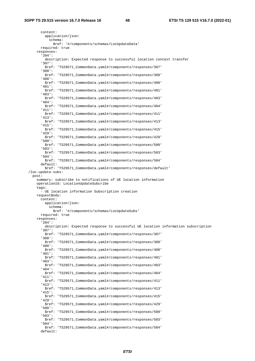content: application/json: schema: \$ref: '#/components/schemas/LocUpdateData' required: true responses: '204': description: Expected response to successful location context transfer '307': \$ref: 'TS29571\_CommonData.yaml#/components/responses/307' '308': \$ref: 'TS29571\_CommonData.yaml#/components/responses/308' '400': \$ref: 'TS29571\_CommonData.yaml#/components/responses/400' '401': \$ref: 'TS29571\_CommonData.yaml#/components/responses/401' '403': \$ref: 'TS29571\_CommonData.yaml#/components/responses/403' '404': \$ref: 'TS29571\_CommonData.yaml#/components/responses/404' '411': \$ref: 'TS29571\_CommonData.yaml#/components/responses/411' '413': \$ref: 'TS29571\_CommonData.yaml#/components/responses/413' '415': \$ref: 'TS29571\_CommonData.yaml#/components/responses/415' '429': \$ref: 'TS29571\_CommonData.yaml#/components/responses/429' '500': \$ref: 'TS29571\_CommonData.yaml#/components/responses/500' '503': \$ref: 'TS29571\_CommonData.yaml#/components/responses/503' '504': \$ref: 'TS29571\_CommonData.yaml#/components/responses/504' default: \$ref: 'TS29571\_CommonData.yaml#/components/responses/default' /loc-update-subs: post: summary: subscribe to notifications of UE location information operationId: LocationUpdateSubcribe tags: - UE location information Subscription creation requestBody: content: application/json: schema: \$ref: '#/components/schemas/LocUpdateSubs' required: true responses: '204': description: Expected response to successful UE location information subscription '307': \$ref: 'TS29571\_CommonData.yaml#/components/responses/307' '308': \$ref: 'TS29571\_CommonData.yaml#/components/responses/308' '400': \$ref: 'TS29571\_CommonData.yaml#/components/responses/400' '401': \$ref: 'TS29571\_CommonData.yaml#/components/responses/401' '403': \$ref: 'TS29571\_CommonData.yaml#/components/responses/403' '404': \$ref: 'TS29571\_CommonData.yaml#/components/responses/404' '411': \$ref: 'TS29571\_CommonData.yaml#/components/responses/411' '413': \$ref: 'TS29571\_CommonData.yaml#/components/responses/413' '415': \$ref: 'TS29571\_CommonData.yaml#/components/responses/415' '429': \$ref: 'TS29571\_CommonData.yaml#/components/responses/429' '500': \$ref: 'TS29571\_CommonData.yaml#/components/responses/500' '503': \$ref: 'TS29571\_CommonData.yaml#/components/responses/503' '504': \$ref: 'TS29571\_CommonData.yaml#/components/responses/504' default: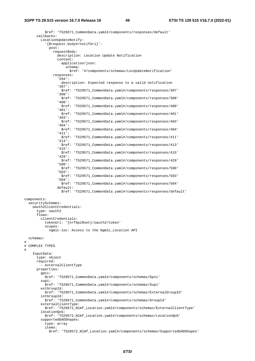#### **3GPP TS 29.515 version 16.7.0 Release 16 49 ETSI TS 129 515 V16.7.0 (2022-01)**

 \$ref: 'TS29571\_CommonData.yaml#/components/responses/default' callbacks: LocationUpdateNotify: '{\$request.body#/notifUri}': post: requestBody: description: Location Update Notification content: application/json: schema: \$ref: '#/components/schemas/LocUpdateNotification' responses: '204': description: Expected response to a valid notification '307': \$ref: 'TS29571\_CommonData.yaml#/components/responses/307' '308': \$ref: 'TS29571\_CommonData.yaml#/components/responses/308' '400': \$ref: 'TS29571\_CommonData.yaml#/components/responses/400' '401': \$ref: 'TS29571\_CommonData.yaml#/components/responses/401' '403': \$ref: 'TS29571\_CommonData.yaml#/components/responses/403' '404': \$ref: 'TS29571\_CommonData.yaml#/components/responses/404' '411': \$ref: 'TS29571\_CommonData.yaml#/components/responses/411' '413': \$ref: 'TS29571\_CommonData.yaml#/components/responses/413' '415': \$ref: 'TS29571\_CommonData.yaml#/components/responses/415' '429': \$ref: 'TS29571\_CommonData.yaml#/components/responses/429' '500': \$ref: 'TS29571\_CommonData.yaml#/components/responses/500' '503': \$ref: 'TS29571\_CommonData.yaml#/components/responses/503' '504': \$ref: 'TS29571\_CommonData.yaml#/components/responses/504' default: \$ref: 'TS29571\_CommonData.yaml#/components/responses/default' components: securitySchemes: oAuth2ClientCredentials: type: oauth2 flows: clientCredentials: tokenUrl: '{nrfApiRoot}/oauth2/token' scopes: ngmlc-loc: Access to the Ngmlc\_Location API schemas:  $\begin{array}{c} \# \\ \# \end{array}$ COMPLEX TYPES # InputData: type: object required: - externalClientType properties: gpsi: \$ref: 'TS29571\_CommonData.yaml#/components/schemas/Gpsi' supi: \$ref: 'TS29571\_CommonData.yaml#/components/schemas/Supi' extGroupId: \$ref: 'TS29571\_CommonData.yaml#/components/schemas/ExternalGroupId' intGroupId: \$ref: 'TS29571\_CommonData.yaml#/components/schemas/GroupId' externalClientType: \$ref: 'TS29572\_Nlmf\_Location.yaml#/components/schemas/ExternalClientType' locationQoS: \$ref: 'TS29572\_Nlmf\_Location.yaml#/components/schemas/LocationQoS' supportedGADShapes: type: array items: \$ref: 'TS29572\_Nlmf\_Location.yaml#/components/schemas/SupportedGADShapes'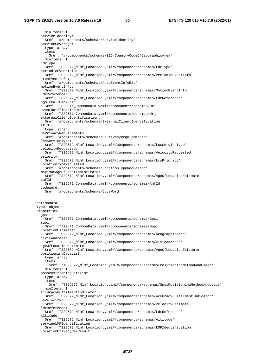minItems: 1 serviceIdentity: \$ref: '#/components/schemas/ServiceIdentity' serviceCoverage: type: array items: \$ref: '#/components/schemas/E164CountryCodeOfGeographicArea' minItems: 1 ldrType: \$ref: 'TS29572\_Nlmf\_Location.yaml#/components/schemas/LdrType' periodicEventInfo: \$ref: 'TS29572\_Nlmf\_Location.yaml#/components/schemas/PeriodicEventInfo' areaEventInfo: \$ref: '#/components/schemas/AreaEventInfoExt' motionEventInfo: \$ref: 'TS29572\_Nlmf\_Location.yaml#/components/schemas/MotionEventInfo' ldrReference: \$ref: 'TS29572\_Nlmf\_Location.yaml#/components/schemas/LdrReference' hgmlcCallBackUri: \$ref: 'TS29571\_CommonData.yaml#/components/schemas/Uri' eventNotificationUri: \$ref: 'TS29571\_CommonData.yaml#/components/schemas/Uri' externalClientIdentification: \$ref: '#/components/schemas/ExternalClientIdentification'  $aftd$ : type: string uePrivacyRequirements: \$ref: '#/components/schemas/UePrivacyRequirements' lcsServiceType: \$ref: 'TS29572\_Nlmf\_Location.yaml#/components/schemas/LcsServiceType' velocityRequested: \$ref: 'TS29572\_Nlmf\_Location.yaml#/components/schemas/VelocityRequested' priority: \$ref: 'TS29572\_Nlmf\_Location.yaml#/components/schemas/LcsPriority' locationTypeRequested: \$ref: '#/components/schemas/LocationTypeRequested' maximumAgeOfLocationEstimate: \$ref: 'TS29572\_Nlmf\_Location.yaml#/components/schemas/AgeOfLocationEstimate'  $amfId:$  \$ref: 'TS29571\_CommonData.yaml#/components/schemas/AmfId' codeWord: \$ref: '#/components/schemas/CodeWord' LocationData: type: object properties: gpsi: \$ref: 'TS29571\_CommonData.yaml#/components/schemas/Gpsi' supi: \$ref: 'TS29571\_CommonData.yaml#/components/schemas/Supi' locationEstimate: \$ref: 'TS29572\_Nlmf\_Location.yaml#/components/schemas/GeographicArea' civicAddress: \$ref: 'TS29572\_Nlmf\_Location.yaml#/components/schemas/CivicAddress' ageOfLocationEstimate: \$ref: 'TS29572\_Nlmf\_Location.yaml#/components/schemas/AgeOfLocationEstimate' positioningDataList: type: array items: \$ref: 'TS29572\_Nlmf\_Location.yaml#/components/schemas/PositioningMethodAndUsage' minItems: 1 gnssPositioningDataList: type: array items: \$ref: 'TS29572\_Nlmf\_Location.yaml#/components/schemas/GnssPositioningMethodAndUsage' minItems: 1 accuracyFulfilmentIndicator: \$ref: 'TS29572\_Nlmf\_Location.yaml#/components/schemas/AccuracyFulfilmentIndicator' ueVelocity: \$ref: 'TS29572\_Nlmf\_Location.yaml#/components/schemas/VelocityEstimate' ldrReference: \$ref: 'TS29572\_Nlmf\_Location.yaml#/components/schemas/LdrReference' altitude: \$ref: 'TS29572\_Nlmf\_Location.yaml#/components/schemas/Altitude' servingLMFIdentification: \$ref: 'TS29572\_Nlmf\_Location.yaml#/components/schemas/LMFIdentification' locationPrivacyVerResult: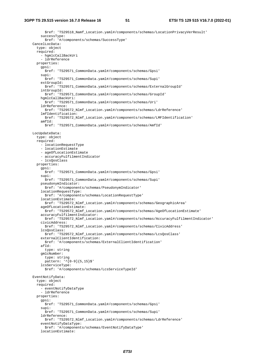\$ref: 'TS29518\_Namf\_Location.yaml#/components/schemas/LocationPrivacyVerResult' successType: \$ref: '#/components/schemas/SuccessType' CancelLocData: type: object required: - hgmlcCallBackUri - ldrReference properties: gpsi: \$ref: 'TS29571\_CommonData.yaml#/components/schemas/Gpsi' supi: \$ref: 'TS29571\_CommonData.yaml#/components/schemas/Supi' extGroupId: \$ref: 'TS29571\_CommonData.yaml#/components/schemas/ExternalGroupId' intGroupId: \$ref: 'TS29571\_CommonData.yaml#/components/schemas/GroupId' hgmlcCallBackUri: \$ref: 'TS29571\_CommonData.yaml#/components/schemas/Uri' ldrReference: \$ref: 'TS29572\_Nlmf\_Location.yaml#/components/schemas/LdrReference' lmfIdentification: \$ref: 'TS29572\_Nlmf\_Location.yaml#/components/schemas/LMFIdentification'  $amfId$ : \$ref: 'TS29571\_CommonData.yaml#/components/schemas/AmfId' LocUpdateData: type: object required: - locationRequestType - locationEstimate - ageOfLocationEstimate - accuracyFulfilmentIndicator - lcsQosClass properties: gpsi: \$ref: 'TS29571\_CommonData.yaml#/components/schemas/Gpsi' supi: \$ref: 'TS29571\_CommonData.yaml#/components/schemas/Supi' pseudonymIndicator: \$ref: '#/components/schemas/PseudonymIndicator' locationRequestType: \$ref: '#/components/schemas/LocationRequestType' locationEstimate: \$ref: 'TS29572\_Nlmf\_Location.yaml#/components/schemas/GeographicArea' ageOfLocationEstimate: \$ref: 'TS29572\_Nlmf\_Location.yaml#/components/schemas/AgeOfLocationEstimate' accuracyFulfilmentIndicator: \$ref: 'TS29572\_Nlmf\_Location.yaml#/components/schemas/AccuracyFulfilmentIndicator' civicAddress: \$ref: 'TS29572\_Nlmf\_Location.yaml#/components/schemas/CivicAddress' lcsQosClass: \$ref: 'TS29572\_Nlmf\_Location.yaml#/components/schemas/LcsQosClass' externalClientIdentification: \$ref: '#/components/schemas/ExternalClientIdentification'  $aftd$ : type: string gmlcNumber: type: string  $p$ attern: ' $(0-9){5,15}$  lcsServiceType: \$ref: '#/components/schemas/LcsServiceTypeId' EventNotifyData: type: object required: - eventNotifyDataType - ldrReference properties: gpsi: \$ref: 'TS29571\_CommonData.yaml#/components/schemas/Gpsi' supi: \$ref: 'TS29571\_CommonData.yaml#/components/schemas/Supi' ldrReference: \$ref: 'TS29572\_Nlmf\_Location.yaml#/components/schemas/LdrReference' eventNotifyDataType: \$ref: '#/components/schemas/EventNotifyDataType' locationEstimate: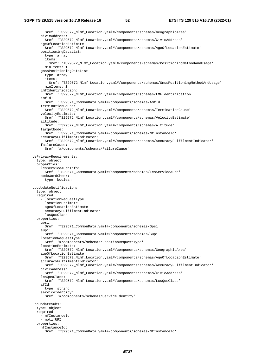```
 $ref: 'TS29572_Nlmf_Location.yaml#/components/schemas/GeographicArea' 
     civicAddress: 
       $ref: 'TS29572_Nlmf_Location.yaml#/components/schemas/CivicAddress' 
     ageOfLocationEstimate: 
       $ref: 'TS29572_Nlmf_Location.yaml#/components/schemas/AgeOfLocationEstimate' 
     positioningDataList: 
       type: array 
       items: 
         $ref: 'TS29572_Nlmf_Location.yaml#/components/schemas/PositioningMethodAndUsage' 
       minItems: 1 
     gnssPositioningDataList: 
       type: array 
       items: 
         $ref: 'TS29572_Nlmf_Location.yaml#/components/schemas/GnssPositioningMethodAndUsage' 
       minItems: 1 
     lmfIdentification: 
       $ref: 'TS29572_Nlmf_Location.yaml#/components/schemas/LMFIdentification' 
    amfId: $ref: 'TS29571_CommonData.yaml#/components/schemas/AmfId' 
     terminationCause: 
      $ref: 'TS29572_Nlmf_Location.yaml#/components/schemas/TerminationCause' 
     velocityEstimate: 
       $ref: 'TS29572_Nlmf_Location.yaml#/components/schemas/VelocityEstimate' 
     altitude: 
       $ref: 'TS29572_Nlmf_Location.yaml#/components/schemas/Altitude' 
     targetNode: 
      $ref: 'TS29571_CommonData.yaml#/components/schemas/NfInstanceId' 
     accuracyFulfilmentIndicator: 
       $ref: 'TS29572_Nlmf_Location.yaml#/components/schemas/AccuracyFulfilmentIndicator' 
     failureCause: 
       $ref: '#/components/schemas/FailureCause' 
 UePrivacyRequirements: 
   type: object 
   properties: 
     lcsServiceAuthInfo: 
       $ref: 'TS29571_CommonData.yaml#/components/schemas/LcsServiceAuth' 
     codeWordCheck: 
       type: boolean 
 LocUpdateNotification: 
   type: object 
   required: 
     - locationRequestType 
     - locationEstimate 
     - ageOfLocationEstimate 
     - accuracyFulfilmentIndicator 
     - lcsQosClass 
   properties: 
     gpsi: 
       $ref: 'TS29571_CommonData.yaml#/components/schemas/Gpsi' 
     supi: 
       $ref: 'TS29571_CommonData.yaml#/components/schemas/Supi' 
     locationRequestType: 
      $ref: '#/components/schemas/LocationRequestType' 
     locationEstimate: 
       $ref: 'TS29572_Nlmf_Location.yaml#/components/schemas/GeographicArea' 
     ageOfLocationEstimate: 
       $ref: 'TS29572_Nlmf_Location.yaml#/components/schemas/AgeOfLocationEstimate' 
     accuracyFulfilmentIndicator: 
       $ref: 'TS29572_Nlmf_Location.yaml#/components/schemas/AccuracyFulfilmentIndicator' 
     civicAddress: 
       $ref: 'TS29572_Nlmf_Location.yaml#/components/schemas/CivicAddress' 
     lcsQosClass: 
       $ref: 'TS29572_Nlmf_Location.yaml#/components/schemas/LcsQosClass' 
     afId: 
       type: string 
    serviceIdentity:
       $ref: '#/components/schemas/ServiceIdentity' 
 LocUpdateSubs: 
   type: object 
   required: 
     - nfInstanceId 
     - notifURI 
   properties: 
     nfInstanceId: 
       $ref: 'TS29571_CommonData.yaml#/components/schemas/NfInstanceId'
```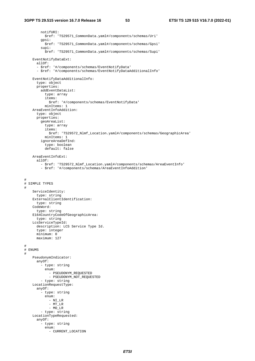notifURI: \$ref: 'TS29571\_CommonData.yaml#/components/schemas/Uri' gpsi: \$ref: 'TS29571\_CommonData.yaml#/components/schemas/Gpsi' supi: \$ref: 'TS29571\_CommonData.yaml#/components/schemas/Supi' EventNotifyDataExt: allOf: - \$ref: '#/components/schemas/EventNotifyData' - \$ref: '#/components/schemas/EventNotifyDataAdditionalInfo' EventNotifyDataAdditionalInfo: type: object properties: addEventDataList: type: array items: \$ref: '#/components/schemas/EventNotifyData' minItems: 1 AreaEventInfoAddition: type: object properties: geoAreaList: type: array items: \$ref: 'TS29572\_Nlmf\_Location.yaml#/components/schemas/GeographicArea' minItems: 1 ignoreAreaDefInd: type: boolean default: false AreaEventInfoExt: allOf: - \$ref: 'TS29572\_Nlmf\_Location.yaml#/components/schemas/AreaEventInfo' - \$ref: '#/components/schemas/AreaEventInfoAddition' # # SIMPLE TYPES # ServiceIdentity: type: string ExternalClientIdentification: type: string CodeWord: type: string E164CountryCodeOfGeographicArea: type: string LcsServiceTypeId: description: LCS Service Type Id. type: integer minimum: 0 maximum: 127 # # ENUMS # PseudonymIndicator: anyOf: - type: string enum: - PSEUDONYM\_REQUESTED - PSEUDONYM\_NOT\_REQUESTED - type: string LocationRequestType: anyOf: - type: string enum: - NI\_LR  $-$  MT $_L$ LR - MO\_LR - type: string LocationTypeRequested: anyOf: - type: string enum: - CURRENT\_LOCATION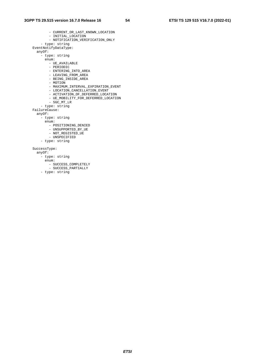| - CURRENT_OR_LAST_KNOWN_LOCATION    |
|-------------------------------------|
| - INITIAL_LOCATION                  |
| - NOTIFICATION_VERIFICATION_ONLY    |
| - type: string                      |
| EventNotifyDataType:                |
| anyOf:                              |
| - type: string                      |
| enum:                               |
| - UE_AVAILABLE                      |
| - PERIODIC                          |
| - ENTERING INTO AREA                |
| - LEAVING FROM AREA                 |
| - BEING INSIDE AREA                 |
| - MOTION                            |
| - MAXIMUM INTERVAL EXPIRATION EVENT |
| - LOCATION CANCELLATION EVENT       |
| - ACTIVATION OF DEFERRED LOCATION   |
| - UE MOBILITY FOR DEFERRED LOCATION |
| - 5GC MT LR                         |
| - type: string                      |
| FailureCause:                       |
| anyOf:                              |
| - type: string                      |
| enum:                               |
| - POSITIONING DENIED                |
| - UNSUPPORTED BY UE                 |
| - NOT REGISTED UE                   |
| - UNSPECIFIED                       |
| - type: string                      |
|                                     |
| SuccessType:                        |
| anyOf:                              |
| - type: string                      |
| enum:                               |
| - SUCCESS COMPLETELY                |
| - SUCCESS PARTIALLY                 |
| - type: string                      |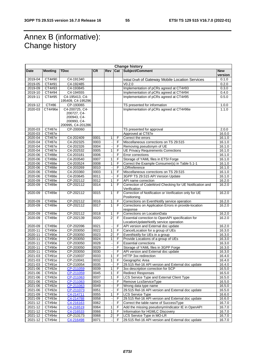# Annex B (informative): Change history

| <b>Change history</b> |                         |                        |              |                         |        |                                                                    |                       |
|-----------------------|-------------------------|------------------------|--------------|-------------------------|--------|--------------------------------------------------------------------|-----------------------|
| Date                  | <b>Meeting</b>          | <b>TDoc</b>            | <b>CR</b>    | Rev                     |        | Cat Subject/Comment                                                | <b>New</b><br>version |
| 2019-04               | CT4#90                  | C4-191340              |              |                         |        | Initial Draft of Gateway Mobile Location Services                  | 0.1.0                 |
| 2019-05               | CT4#91                  | C4-192485              |              |                         |        | V0.2.0                                                             | 0.2.0                 |
| 2019-09               | CT4#93                  | C4-193845              |              |                         |        | Implementation of pCRs agreed at CT4#93                            | 0.3.0                 |
| 2019-10               | CT4#94                  | C4-194555              |              |                         |        | Implementation of pCRs agreed at CT4#94                            | 0.4.0                 |
| 2019-11               | CT4#95                  | C4-195413, C4-         |              |                         |        | Implementation of pCRs agreed at CT4#95                            | 0.5.0                 |
|                       |                         | 195409, C4-195296      |              |                         |        |                                                                    |                       |
| 2019-12               | CT#86                   | CP-193065              |              |                         |        | TS presented for information                                       | 1.0.0                 |
| 2020-03               | CT4#96e                 | C4-200725, C4-         |              |                         |        | Implementation of pCRs agreed at CT4#96e                           | 1.1.0                 |
|                       |                         | 200727, C4-            |              |                         |        |                                                                    |                       |
|                       |                         | 200943, C4-            |              |                         |        |                                                                    |                       |
|                       |                         | 200993, C4-            |              |                         |        |                                                                    |                       |
|                       |                         | 200995, C4-201286      |              |                         |        |                                                                    |                       |
| 2020-03               | CT#87e                  | CP-200060              |              |                         |        | TS presented for approval                                          | 2.0.0                 |
| 2020-03<br>2020-04    | CT#87e                  |                        |              |                         |        | Approved at CT87e<br>Correct the errors                            | 16.0.0<br>16.1.0      |
| 2020-04               | CT#87e                  | C4-202409<br>C4-202325 | 0001<br>0003 | 1                       | F      |                                                                    | 16.1.0                |
| 2020-04               | CT#87e<br><b>CT#87e</b> | C4-202326              | 0004         |                         | F<br>F | Miscellaneous corrections on TS 29.515<br>Removing pseudonym of UE | 16.1.0                |
| 2020-04               | CT#87e                  | C4-202532              | 0005         | 1                       | F      | <b>UE Privacy Requirements Corrections</b>                         | 16.1.0                |
| 2020-06               | CT#88e                  | C4-203181              | 0006         |                         | F      | Error corrections                                                  | 16.1.0                |
| 2020-06               | CT#88e                  | C4-203540              | 0007         | 1                       | F      | Storage of YAML files in ETSI Forge                                | 16.1.0                |
| 2020-06               | CT#88e                  | C4-203524              | 0008         | 1                       | F      | Correct the Example Consumer(s) in Table 5.1-1                     | 16.1.0                |
| 2020-06               | CT#88e                  | C4-203269              | 0010         |                         | F      | LDRreference                                                       | 16.1.0                |
| 2020-06               | CT#88e                  | C4-203360              | 0003         | 1                       | F      | Miscellaneous corrections on TS 29.515                             | 16.1.0                |
| 2020-06               | CT#88e                  | C4-203645              | 0011         |                         | F      | 3GPP TS 29.515 API Version Update                                  | 16.1.0                |
| 2020-09               | CT#89e                  | CP-202112              | 0012         | 1                       | F      | API name correction                                                | 16.2.0                |
| 2020-09               | CT#89e                  | CP-202112              | 0014         | 1                       | F      | Correction of CodeWord Checking for UE Notification and            | 16.2.0                |
|                       |                         |                        |              |                         |        | Verification                                                       |                       |
| 2020-09               | CT#89e                  | CP-202112              | 0015         | 1                       | F      | Correction of Notification or Verification only for UE             | 16.2.0                |
|                       |                         |                        |              |                         |        | Positioning                                                        |                       |
| $2020 - 09$           | CT#89e                  | CP-202112              | 0016         | 1                       | F      | Corrections on EventNotify service operation                       | 16.2.0                |
| 2020-09               | CT#89e                  | CP-202112              | 0017         | $\mathbf{1}$            | F.     | Corrections on Application Errors in provide-location              | 16.2.0                |
|                       |                         |                        |              |                         |        | response                                                           |                       |
| 2020-09               | CT#89e                  | CP-202112              | 0018         | 1                       | F      | Corrections on LocationData                                        | 16.2.0                |
| 2020-09               | CT#89e                  | CP-202139              | 0020         | $\overline{2}$          | F      | Essential correction to OpenAPI specification for                  | 16.2.0                |
|                       |                         |                        |              |                         |        | LocationUpdateNotify service operation                             |                       |
| 2020-09               | CT#89e                  | CP-202096              | 0021         |                         | F      | API version and External doc update                                | 16.2.0                |
| 2020-11               | CT#90e                  | CP-203050              | 0022         | 1                       | F      | CancelLocation for a group of UEs                                  | 16.3.0                |
| 2020-11               | CT#90e                  | CP-203050              | 0023         | 2                       | F      | EventNotify for UEs in a group                                     | 16.3.0                |
| 2020-11               | CT#90e                  | CP-203050              | 0024         | 1                       | F<br>F | Provide Locations of a group of UEs                                | 16.3.0                |
| 2020-11               | CT#90e                  | CP-203050<br>CP-203050 | 0028         |                         | F      | <b>Essential corrections</b>                                       | 16.3.0                |
| 2020-11               | CT#90e                  | CP-203050              | 0029<br>0030 |                         | F      | Storage of YAML files in 3GPP Forge                                | 16.3.0                |
| 2020-11<br>2021-03    | CT#90e<br>CT#91e        | CP-210037              | 0033         | 1                       | F      | API version and External doc update                                | 16.3.0<br>16.4.0      |
| 2021-03               | CT#91e                  | CP-210041              | 0032         | 1                       | F      | HTTP 3xx redirection<br>Geographic Area                            | 16.4.0                |
| 2021-03               | CT#91e                  | CP-210054              | 0035         |                         | F      | 29.515 Rel-16 API version and External doc update                  | 16.4.0                |
| 2021-06               | CT#92e                  | CP-211059              | 0039         | 1                       | F      | 3xx description correction for SCP                                 | 16.5.0                |
| 2021-06               | CT#92e                  | CP-211059              | 0045         | 1                       | F      | <b>Redirect Responses</b>                                          | 16.5.0                |
| 2021-06               | CT#92e                  | CP-211063              | 0037         | 1                       | F      | LCS Service Type and External Client Type                          | 16.5.0                |
| 2021-06               | CT#92e                  | CP-211063              | 0043         |                         | F      | Remove LcsServiceType                                              | 16.5.0                |
| 2021-06               | CT#92e                  | CP-211063              | 0049         |                         | F      | Wrong data type name                                               | 16.5.0                |
| $2021 - 06$           | CT#92e                  | CP-211073              | 0051         |                         | F      | 29.515 Rel-16 API version and External doc update                  | 16.5.0                |
| 2021-09               | CT#93e                  | C4-214711              | 0055         | 1                       | F      | LCS Service Type                                                   | 16.6.0                |
| 2021-09               | CT#93e                  | C4-214788              | 0058         |                         | F      | 29.515 Rel-16 API version and External doc update                  | 16.6.0                |
| 2021-12               | CT#94e                  | C4-216163              | 0062         |                         | F      | Correct the table name of SuccessType                              | 16.7.0                |
| 2021-12               | CT#94e                  | C4-216519              | 0064         | 1                       | F      | Add the missing pseudonymIndicator IE in OpenAPI                   | 16.7.0                |
| 2021-12               | CT#94e                  | C4-216533              | 0066         | 1                       | F      | Information for HGMLC Discovery                                    | 16.7.0                |
| 2021-12               | CT#94e                  | CP-213173              | 0068         | $\overline{\mathbf{c}}$ | F      | LCS Service Type in MO-LR                                          | 16.7.0                |
| 2021-12               | CT#94e                  | C4-216498              | 0071         |                         | F      | 29.515 Rel-16 API version and External doc update                  | 16.7.0                |